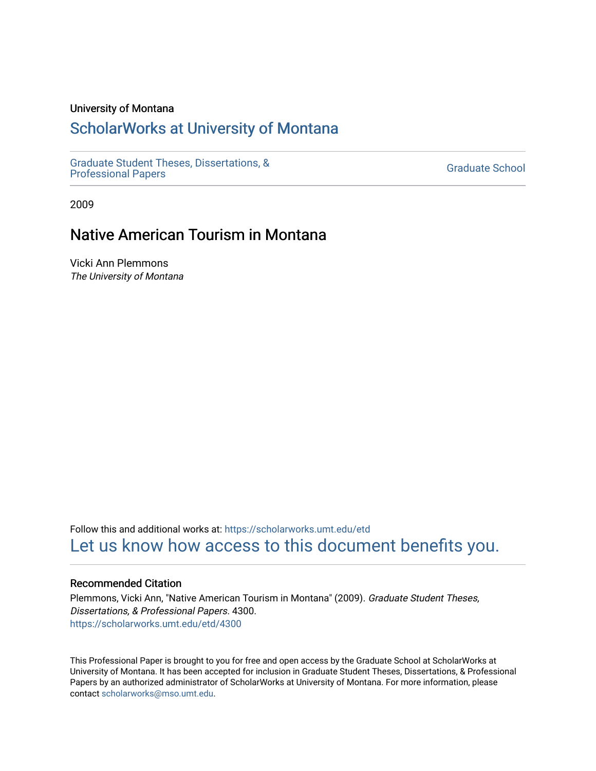#### University of Montana

# [ScholarWorks at University of Montana](https://scholarworks.umt.edu/)

[Graduate Student Theses, Dissertations, &](https://scholarworks.umt.edu/etd) Graduate Student Theses, Dissertations, & Contract Control of the Graduate School [Professional Papers](https://scholarworks.umt.edu/etd) Contract Control of the Professional Papers

2009

# Native American Tourism in Montana

Vicki Ann Plemmons The University of Montana

Follow this and additional works at: [https://scholarworks.umt.edu/etd](https://scholarworks.umt.edu/etd?utm_source=scholarworks.umt.edu%2Fetd%2F4300&utm_medium=PDF&utm_campaign=PDFCoverPages)  [Let us know how access to this document benefits you.](https://goo.gl/forms/s2rGfXOLzz71qgsB2) 

#### Recommended Citation

Plemmons, Vicki Ann, "Native American Tourism in Montana" (2009). Graduate Student Theses, Dissertations, & Professional Papers. 4300. [https://scholarworks.umt.edu/etd/4300](https://scholarworks.umt.edu/etd/4300?utm_source=scholarworks.umt.edu%2Fetd%2F4300&utm_medium=PDF&utm_campaign=PDFCoverPages)

This Professional Paper is brought to you for free and open access by the Graduate School at ScholarWorks at University of Montana. It has been accepted for inclusion in Graduate Student Theses, Dissertations, & Professional Papers by an authorized administrator of ScholarWorks at University of Montana. For more information, please contact [scholarworks@mso.umt.edu](mailto:scholarworks@mso.umt.edu).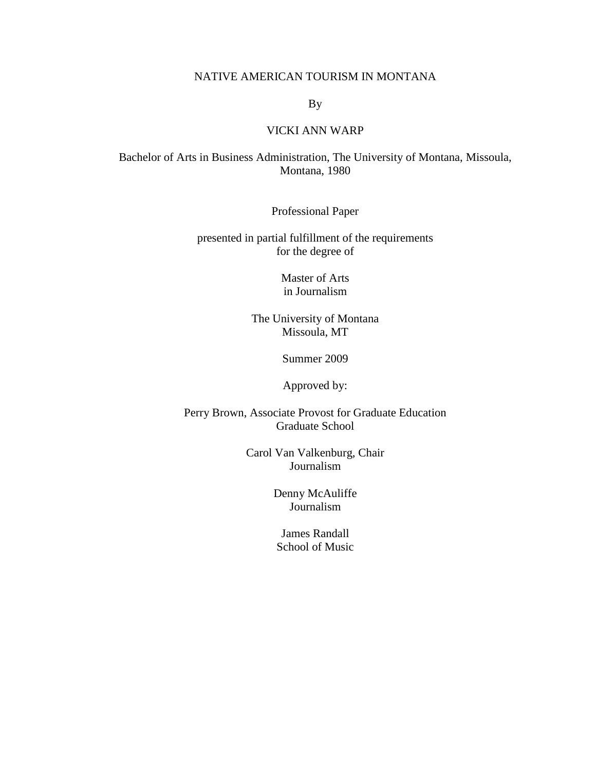#### NATIVE AMERICAN TOURISM IN MONTANA

By

#### VICKI ANN WARP

#### Bachelor of Arts in Business Administration, The University of Montana, Missoula, Montana, 1980

Professional Paper

presented in partial fulfillment of the requirements for the degree of

> Master of Arts in Journalism

The University of Montana Missoula, MT

Summer 2009

Approved by:

Perry Brown, Associate Provost for Graduate Education Graduate School

> Carol Van Valkenburg, Chair Journalism

> > Denny McAuliffe Journalism

James Randall School of Music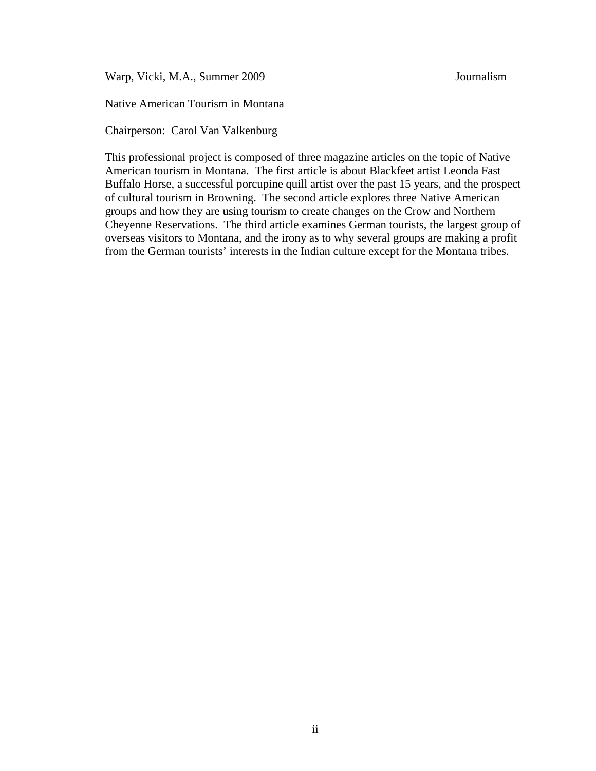Warp, Vicki, M.A., Summer 2009 Journalism

Native American Tourism in Montana

Chairperson: Carol Van Valkenburg

This professional project is composed of three magazine articles on the topic of Native American tourism in Montana. The first article is about Blackfeet artist Leonda Fast Buffalo Horse, a successful porcupine quill artist over the past 15 years, and the prospect of cultural tourism in Browning. The second article explores three Native American groups and how they are using tourism to create changes on the Crow and Northern Cheyenne Reservations. The third article examines German tourists, the largest group of overseas visitors to Montana, and the irony as to why several groups are making a profit from the German tourists' interests in the Indian culture except for the Montana tribes.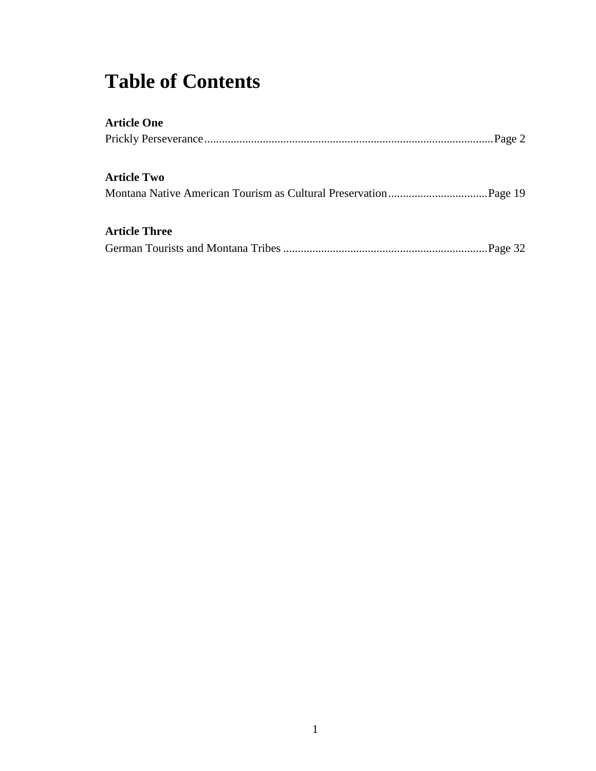# **Table of Contents**

| <b>Article One</b>   |  |
|----------------------|--|
|                      |  |
| <b>Article Two</b>   |  |
|                      |  |
| <b>Article Three</b> |  |
|                      |  |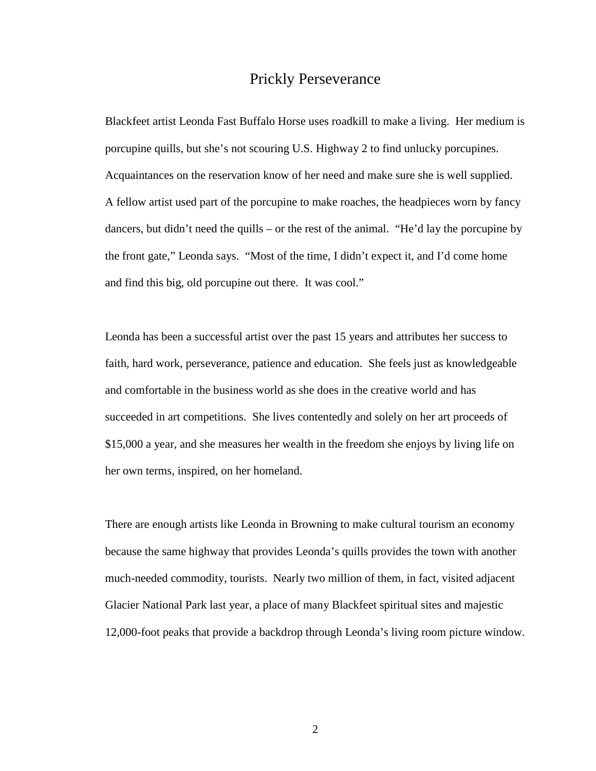## Prickly Perseverance

Blackfeet artist Leonda Fast Buffalo Horse uses roadkill to make a living. Her medium is porcupine quills, but she's not scouring U.S. Highway 2 to find unlucky porcupines. Acquaintances on the reservation know of her need and make sure she is well supplied. A fellow artist used part of the porcupine to make roaches, the headpieces worn by fancy dancers, but didn't need the quills – or the rest of the animal. "He'd lay the porcupine by the front gate," Leonda says. "Most of the time, I didn't expect it, and I'd come home and find this big, old porcupine out there. It was cool."

Leonda has been a successful artist over the past 15 years and attributes her success to faith, hard work, perseverance, patience and education. She feels just as knowledgeable and comfortable in the business world as she does in the creative world and has succeeded in art competitions. She lives contentedly and solely on her art proceeds of \$15,000 a year, and she measures her wealth in the freedom she enjoys by living life on her own terms, inspired, on her homeland.

There are enough artists like Leonda in Browning to make cultural tourism an economy because the same highway that provides Leonda's quills provides the town with another much-needed commodity, tourists. Nearly two million of them, in fact, visited adjacent Glacier National Park last year, a place of many Blackfeet spiritual sites and majestic 12,000-foot peaks that provide a backdrop through Leonda's living room picture window.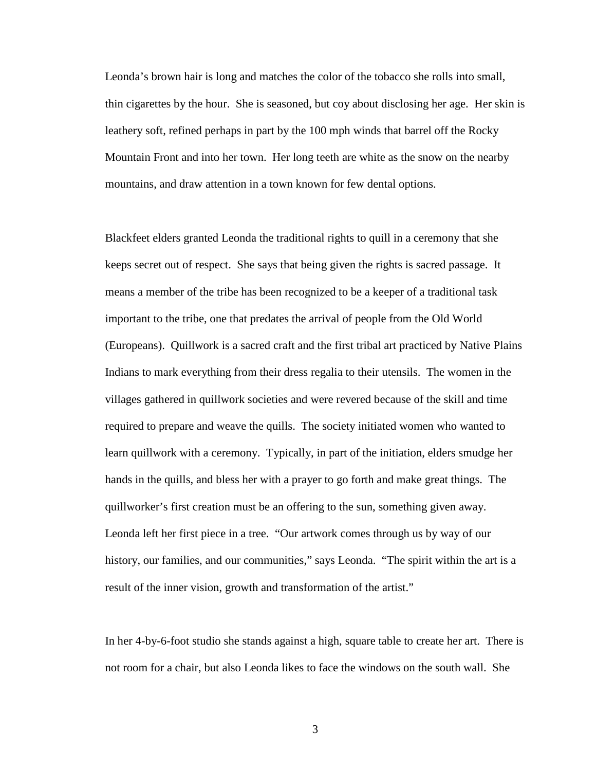Leonda's brown hair is long and matches the color of the tobacco she rolls into small, thin cigarettes by the hour. She is seasoned, but coy about disclosing her age. Her skin is leathery soft, refined perhaps in part by the 100 mph winds that barrel off the Rocky Mountain Front and into her town. Her long teeth are white as the snow on the nearby mountains, and draw attention in a town known for few dental options.

Blackfeet elders granted Leonda the traditional rights to quill in a ceremony that she keeps secret out of respect. She says that being given the rights is sacred passage. It means a member of the tribe has been recognized to be a keeper of a traditional task important to the tribe, one that predates the arrival of people from the Old World (Europeans). Quillwork is a sacred craft and the first tribal art practiced by Native Plains Indians to mark everything from their dress regalia to their utensils. The women in the villages gathered in quillwork societies and were revered because of the skill and time required to prepare and weave the quills. The society initiated women who wanted to learn quillwork with a ceremony. Typically, in part of the initiation, elders smudge her hands in the quills, and bless her with a prayer to go forth and make great things. The quillworker's first creation must be an offering to the sun, something given away. Leonda left her first piece in a tree. "Our artwork comes through us by way of our history, our families, and our communities," says Leonda. "The spirit within the art is a result of the inner vision, growth and transformation of the artist."

In her 4-by-6-foot studio she stands against a high, square table to create her art. There is not room for a chair, but also Leonda likes to face the windows on the south wall. She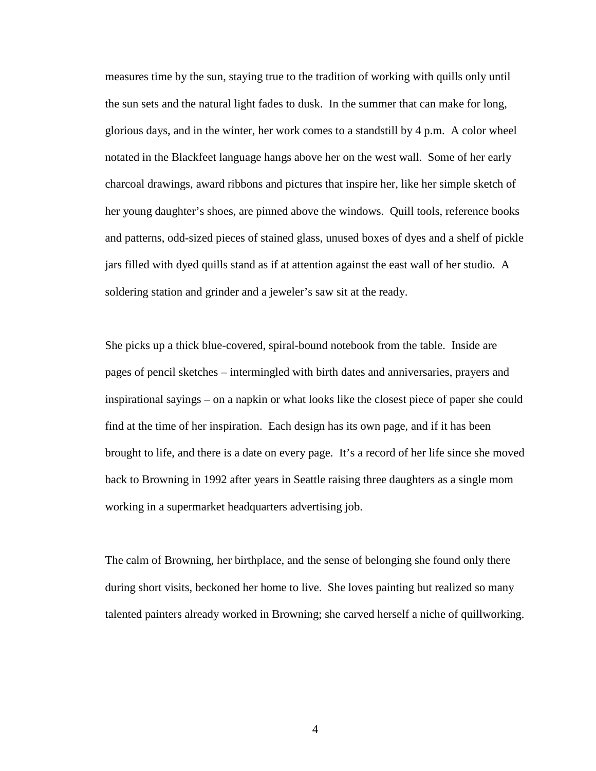measures time by the sun, staying true to the tradition of working with quills only until the sun sets and the natural light fades to dusk. In the summer that can make for long, glorious days, and in the winter, her work comes to a standstill by 4 p.m. A color wheel notated in the Blackfeet language hangs above her on the west wall. Some of her early charcoal drawings, award ribbons and pictures that inspire her, like her simple sketch of her young daughter's shoes, are pinned above the windows. Quill tools, reference books and patterns, odd-sized pieces of stained glass, unused boxes of dyes and a shelf of pickle jars filled with dyed quills stand as if at attention against the east wall of her studio. A soldering station and grinder and a jeweler's saw sit at the ready.

She picks up a thick blue-covered, spiral-bound notebook from the table. Inside are pages of pencil sketches – intermingled with birth dates and anniversaries, prayers and inspirational sayings – on a napkin or what looks like the closest piece of paper she could find at the time of her inspiration. Each design has its own page, and if it has been brought to life, and there is a date on every page. It's a record of her life since she moved back to Browning in 1992 after years in Seattle raising three daughters as a single mom working in a supermarket headquarters advertising job.

The calm of Browning, her birthplace, and the sense of belonging she found only there during short visits, beckoned her home to live. She loves painting but realized so many talented painters already worked in Browning; she carved herself a niche of quillworking.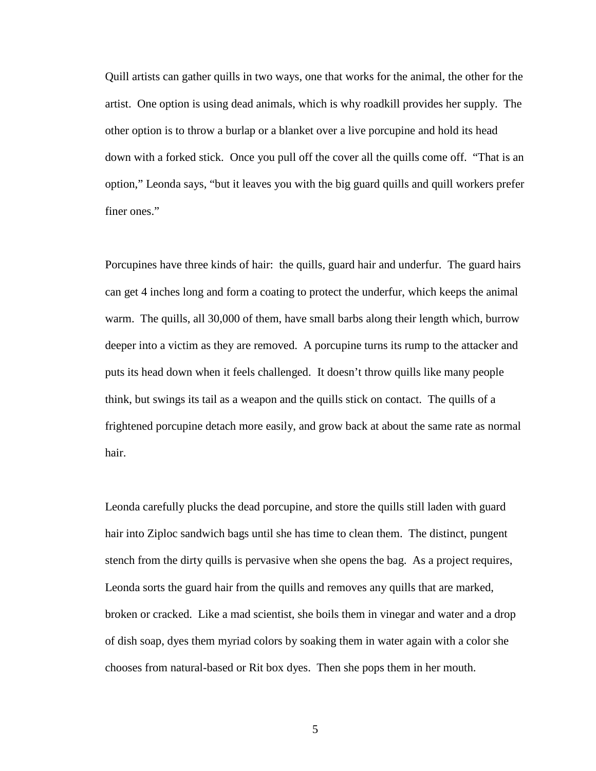Quill artists can gather quills in two ways, one that works for the animal, the other for the artist. One option is using dead animals, which is why roadkill provides her supply. The other option is to throw a burlap or a blanket over a live porcupine and hold its head down with a forked stick. Once you pull off the cover all the quills come off. "That is an option," Leonda says, "but it leaves you with the big guard quills and quill workers prefer finer ones."

Porcupines have three kinds of hair: the quills, guard hair and underfur. The guard hairs can get 4 inches long and form a coating to protect the underfur, which keeps the animal warm. The quills, all 30,000 of them, have small barbs along their length which, burrow deeper into a victim as they are removed. A porcupine turns its rump to the attacker and puts its head down when it feels challenged. It doesn't throw quills like many people think, but swings its tail as a weapon and the quills stick on contact. The quills of a frightened porcupine detach more easily, and grow back at about the same rate as normal hair.

Leonda carefully plucks the dead porcupine, and store the quills still laden with guard hair into Ziploc sandwich bags until she has time to clean them. The distinct, pungent stench from the dirty quills is pervasive when she opens the bag. As a project requires, Leonda sorts the guard hair from the quills and removes any quills that are marked, broken or cracked. Like a mad scientist, she boils them in vinegar and water and a drop of dish soap, dyes them myriad colors by soaking them in water again with a color she chooses from natural-based or Rit box dyes. Then she pops them in her mouth.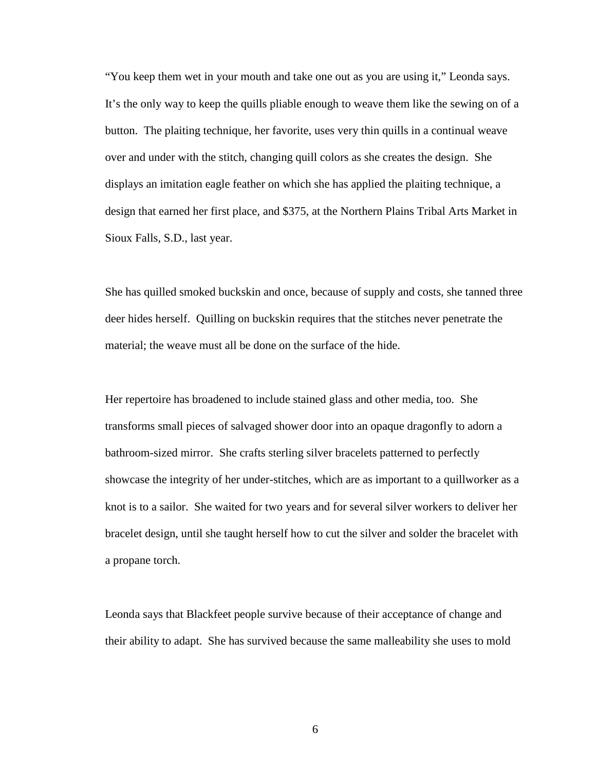"You keep them wet in your mouth and take one out as you are using it," Leonda says. It's the only way to keep the quills pliable enough to weave them like the sewing on of a button. The plaiting technique, her favorite, uses very thin quills in a continual weave over and under with the stitch, changing quill colors as she creates the design. She displays an imitation eagle feather on which she has applied the plaiting technique, a design that earned her first place, and \$375, at the Northern Plains Tribal Arts Market in Sioux Falls, S.D., last year.

She has quilled smoked buckskin and once, because of supply and costs, she tanned three deer hides herself. Quilling on buckskin requires that the stitches never penetrate the material; the weave must all be done on the surface of the hide.

Her repertoire has broadened to include stained glass and other media, too. She transforms small pieces of salvaged shower door into an opaque dragonfly to adorn a bathroom-sized mirror. She crafts sterling silver bracelets patterned to perfectly showcase the integrity of her under-stitches, which are as important to a quillworker as a knot is to a sailor. She waited for two years and for several silver workers to deliver her bracelet design, until she taught herself how to cut the silver and solder the bracelet with a propane torch.

Leonda says that Blackfeet people survive because of their acceptance of change and their ability to adapt. She has survived because the same malleability she uses to mold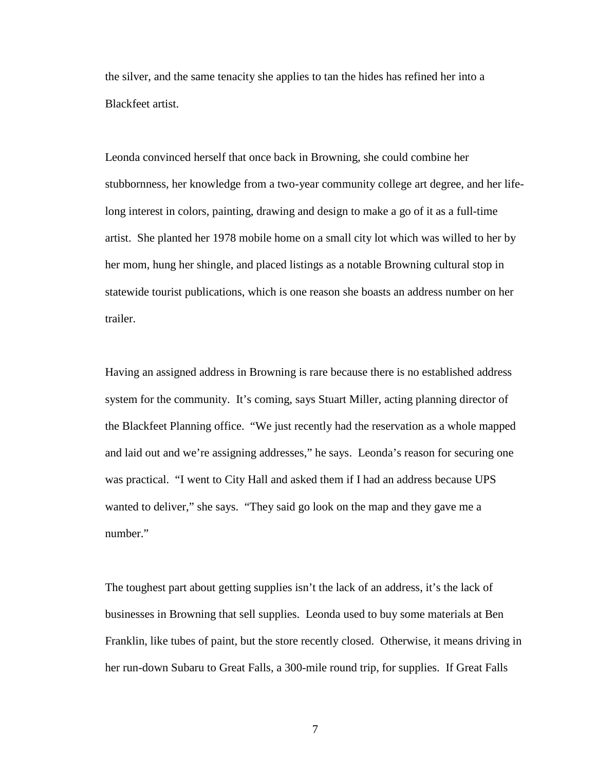the silver, and the same tenacity she applies to tan the hides has refined her into a Blackfeet artist.

Leonda convinced herself that once back in Browning, she could combine her stubbornness, her knowledge from a two-year community college art degree, and her lifelong interest in colors, painting, drawing and design to make a go of it as a full-time artist. She planted her 1978 mobile home on a small city lot which was willed to her by her mom, hung her shingle, and placed listings as a notable Browning cultural stop in statewide tourist publications, which is one reason she boasts an address number on her trailer.

Having an assigned address in Browning is rare because there is no established address system for the community. It's coming, says Stuart Miller, acting planning director of the Blackfeet Planning office. "We just recently had the reservation as a whole mapped and laid out and we're assigning addresses," he says. Leonda's reason for securing one was practical. "I went to City Hall and asked them if I had an address because UPS wanted to deliver," she says. "They said go look on the map and they gave me a number."

The toughest part about getting supplies isn't the lack of an address, it's the lack of businesses in Browning that sell supplies. Leonda used to buy some materials at Ben Franklin, like tubes of paint, but the store recently closed. Otherwise, it means driving in her run-down Subaru to Great Falls, a 300-mile round trip, for supplies. If Great Falls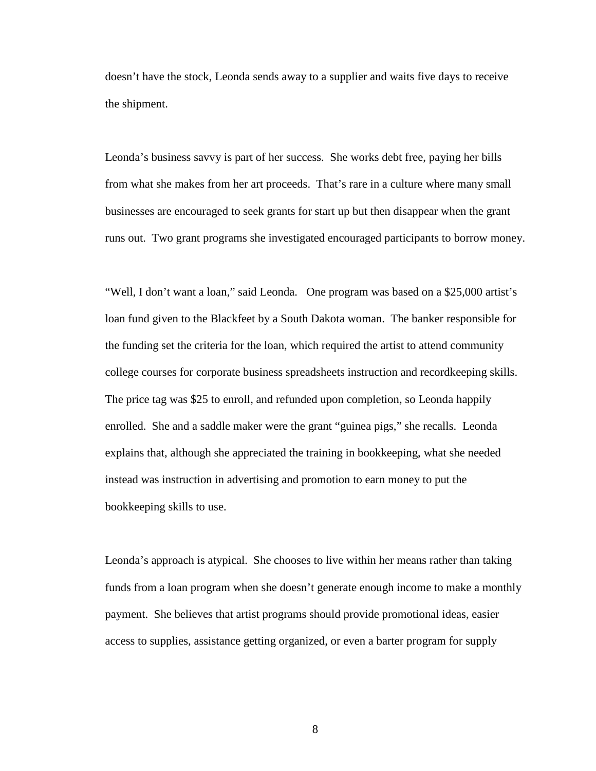doesn't have the stock, Leonda sends away to a supplier and waits five days to receive the shipment.

Leonda's business savvy is part of her success. She works debt free, paying her bills from what she makes from her art proceeds. That's rare in a culture where many small businesses are encouraged to seek grants for start up but then disappear when the grant runs out. Two grant programs she investigated encouraged participants to borrow money.

"Well, I don't want a loan," said Leonda. One program was based on a \$25,000 artist's loan fund given to the Blackfeet by a South Dakota woman. The banker responsible for the funding set the criteria for the loan, which required the artist to attend community college courses for corporate business spreadsheets instruction and recordkeeping skills. The price tag was \$25 to enroll, and refunded upon completion, so Leonda happily enrolled. She and a saddle maker were the grant "guinea pigs," she recalls. Leonda explains that, although she appreciated the training in bookkeeping, what she needed instead was instruction in advertising and promotion to earn money to put the bookkeeping skills to use.

Leonda's approach is atypical. She chooses to live within her means rather than taking funds from a loan program when she doesn't generate enough income to make a monthly payment. She believes that artist programs should provide promotional ideas, easier access to supplies, assistance getting organized, or even a barter program for supply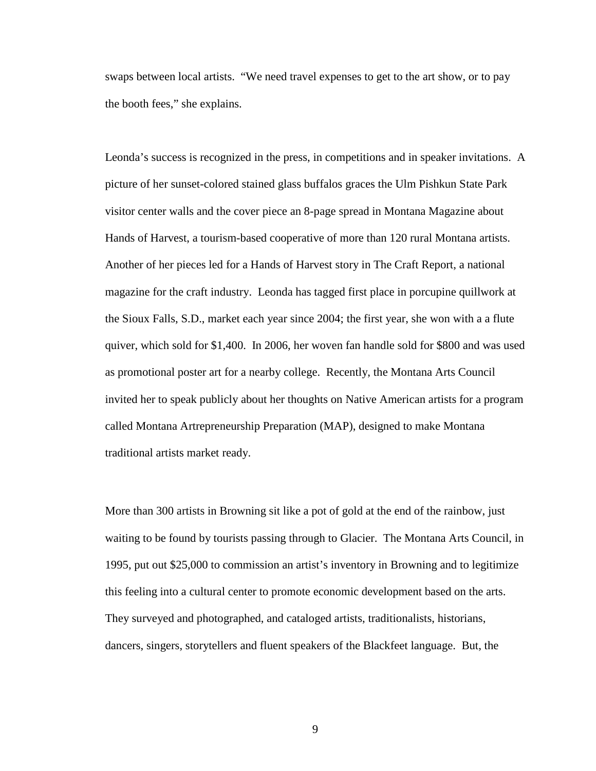swaps between local artists. "We need travel expenses to get to the art show, or to pay the booth fees," she explains.

Leonda's success is recognized in the press, in competitions and in speaker invitations. A picture of her sunset-colored stained glass buffalos graces the Ulm Pishkun State Park visitor center walls and the cover piece an 8-page spread in Montana Magazine about Hands of Harvest, a tourism-based cooperative of more than 120 rural Montana artists. Another of her pieces led for a Hands of Harvest story in The Craft Report, a national magazine for the craft industry. Leonda has tagged first place in porcupine quillwork at the Sioux Falls, S.D., market each year since 2004; the first year, she won with a a flute quiver, which sold for \$1,400. In 2006, her woven fan handle sold for \$800 and was used as promotional poster art for a nearby college. Recently, the Montana Arts Council invited her to speak publicly about her thoughts on Native American artists for a program called Montana Artrepreneurship Preparation (MAP), designed to make Montana traditional artists market ready.

More than 300 artists in Browning sit like a pot of gold at the end of the rainbow, just waiting to be found by tourists passing through to Glacier. The Montana Arts Council, in 1995, put out \$25,000 to commission an artist's inventory in Browning and to legitimize this feeling into a cultural center to promote economic development based on the arts. They surveyed and photographed, and cataloged artists, traditionalists, historians, dancers, singers, storytellers and fluent speakers of the Blackfeet language. But, the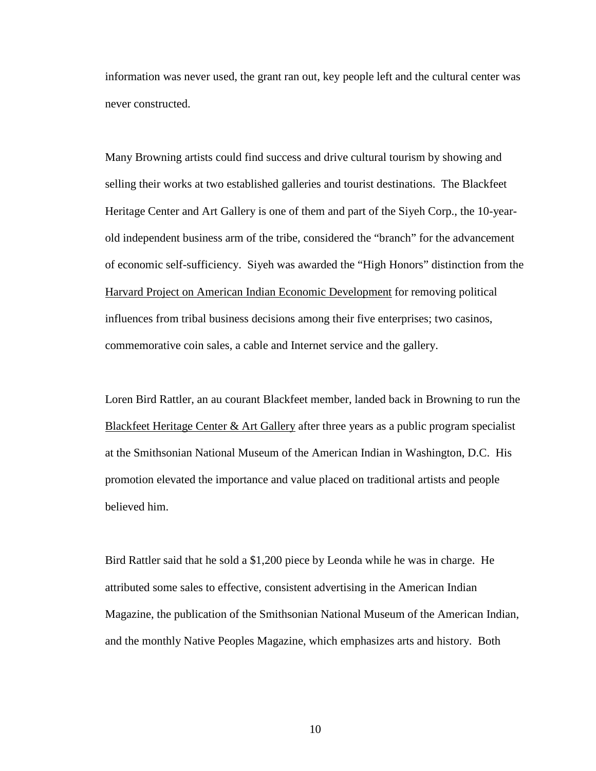information was never used, the grant ran out, key people left and the cultural center was never constructed.

Many Browning artists could find success and drive cultural tourism by showing and selling their works at two established galleries and tourist destinations. The Blackfeet Heritage Center and Art Gallery is one of them and part of the Siyeh Corp., the 10-yearold independent business arm of the tribe, considered the "branch" for the advancement of economic self-sufficiency. Siyeh was awarded the "High Honors" distinction from the [Harvard Project on American Indian Economic Development](http://www.ksg.harvard.edu/hpaied/index.htm) for removing political influences from tribal business decisions among their five enterprises; two casinos, commemorative coin sales, a cable and Internet service and the gallery.

Loren Bird Rattler, an au courant Blackfeet member, landed back in Browning to run the [Blackfeet Heritage Center & Art Gallery](http://www.siyehdevelopment.com/heritage.html) after three years as a public program specialist at the Smithsonian National Museum of the American Indian in Washington, D.C. His promotion elevated the importance and value placed on traditional artists and people believed him.

Bird Rattler said that he sold a \$1,200 piece by Leonda while he was in charge. He attributed some sales to effective, consistent advertising in the American Indian Magazine, the publication of the Smithsonian National Museum of the American Indian, and the monthly Native Peoples Magazine, which emphasizes arts and history. Both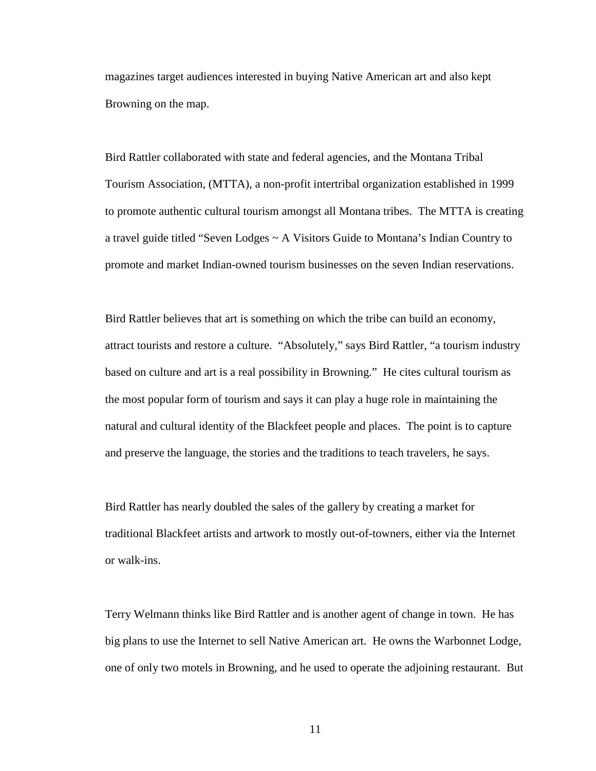magazines target audiences interested in buying Native American art and also kept Browning on the map.

Bird Rattler collaborated with state and federal agencies, and the Montana Tribal Tourism Association, (MTTA), a non-profit intertribal organization established in 1999 to promote authentic cultural tourism amongst all Montana tribes. The MTTA is creating a travel guide titled "Seven Lodges ~ A Visitors Guide to Montana's Indian Country to promote and market Indian-owned tourism businesses on the seven Indian reservations.

Bird Rattler believes that art is something on which the tribe can build an economy, attract tourists and restore a culture. "Absolutely," says Bird Rattler, "a tourism industry based on culture and art is a real possibility in Browning." He cites cultural tourism as the most popular form of tourism and says it can play a huge role in maintaining the natural and cultural identity of the Blackfeet people and places. The point is to capture and preserve the language, the stories and the traditions to teach travelers, he says.

Bird Rattler has nearly doubled the sales of the gallery by creating a market for traditional Blackfeet artists and artwork to mostly out-of-towners, either via the Internet or walk-ins.

Terry Welmann thinks like Bird Rattler and is another agent of change in town. He has big plans to use the Internet to sell Native American art. He owns the Warbonnet Lodge, one of only two motels in Browning, and he used to operate the adjoining restaurant. But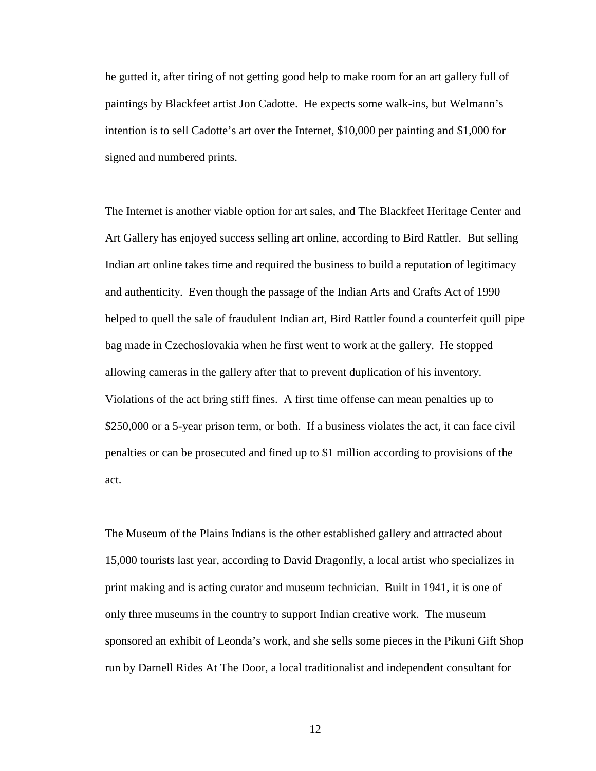he gutted it, after tiring of not getting good help to make room for an art gallery full of paintings by Blackfeet artist Jon Cadotte. He expects some walk-ins, but Welmann's intention is to sell Cadotte's art over the Internet, \$10,000 per painting and \$1,000 for signed and numbered prints.

The Internet is another viable option for art sales, and The Blackfeet Heritage Center and Art Gallery has enjoyed success selling art online, according to Bird Rattler. But selling Indian art online takes time and required the business to build a reputation of legitimacy and authenticity. Even though the passage of the Indian Arts and Crafts Act of 1990 helped to quell the sale of fraudulent Indian art, Bird Rattler found a counterfeit quill pipe bag made in Czechoslovakia when he first went to work at the gallery. He stopped allowing cameras in the gallery after that to prevent duplication of his inventory. Violations of the act bring stiff fines. A first time offense can mean penalties up to \$250,000 or a 5-year prison term, or both. If a business violates the act, it can face civil penalties or can be prosecuted and fined up to \$1 million according to provisions of the act.

The Museum of the Plains Indians is the other established gallery and attracted about 15,000 tourists last year, according to David Dragonfly, a local artist who specializes in print making and is acting curator and museum technician. Built in 1941, it is one of only three museums in the country to support Indian creative work. The museum sponsored an exhibit of Leonda's work, and she sells some pieces in the Pikuni Gift Shop run by Darnell Rides At The Door, a local traditionalist and independent consultant for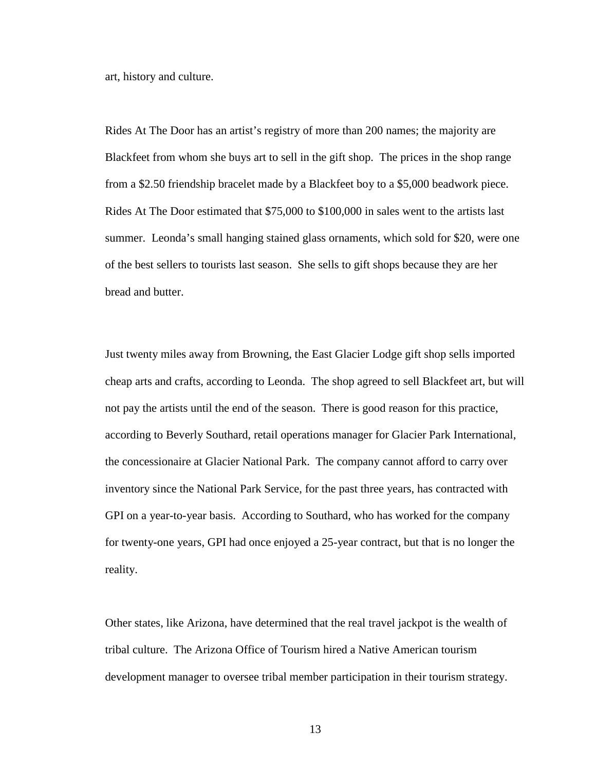art, history and culture.

Rides At The Door has an artist's registry of more than 200 names; the majority are Blackfeet from whom she buys art to sell in the gift shop. The prices in the shop range from a \$2.50 friendship bracelet made by a Blackfeet boy to a \$5,000 beadwork piece. Rides At The Door estimated that \$75,000 to \$100,000 in sales went to the artists last summer. Leonda's small hanging stained glass ornaments, which sold for \$20, were one of the best sellers to tourists last season. She sells to gift shops because they are her bread and butter.

Just twenty miles away from Browning, the East Glacier Lodge gift shop sells imported cheap arts and crafts, according to Leonda. The shop agreed to sell Blackfeet art, but will not pay the artists until the end of the season. There is good reason for this practice, according to Beverly Southard, retail operations manager for Glacier Park International, the concessionaire at Glacier National Park. The company cannot afford to carry over inventory since the National Park Service, for the past three years, has contracted with GPI on a year-to-year basis. According to Southard, who has worked for the company for twenty-one years, GPI had once enjoyed a 25-year contract, but that is no longer the reality.

Other states, like Arizona, have determined that the real travel jackpot is the wealth of tribal culture. The Arizona Office of Tourism hired a Native American tourism development manager to oversee tribal member participation in their tourism strategy.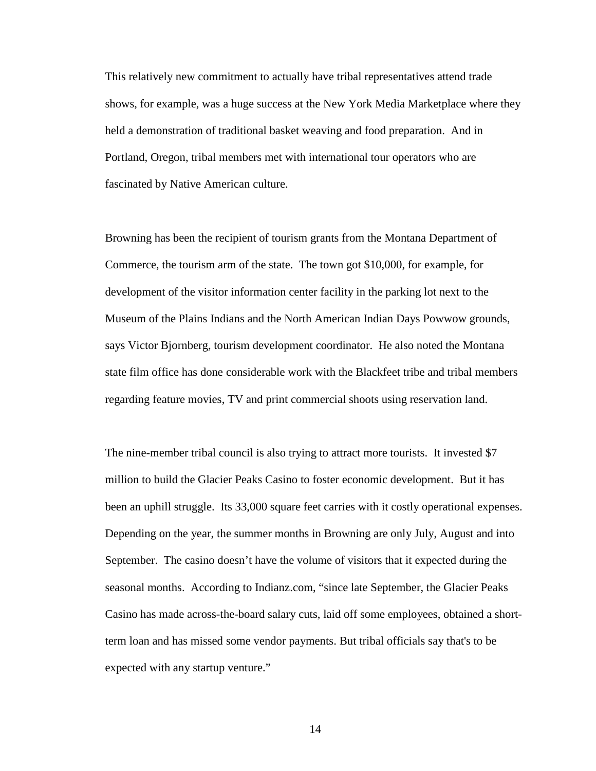This relatively new commitment to actually have tribal representatives attend trade shows, for example, was a huge success at the New York Media Marketplace where they held a demonstration of traditional basket weaving and food preparation. And in Portland, Oregon, tribal members met with international tour operators who are fascinated by Native American culture.

Browning has been the recipient of tourism grants from the Montana Department of Commerce, the tourism arm of the state. The town got \$10,000, for example, for development of the visitor information center facility in the parking lot next to the Museum of the Plains Indians and the North American Indian Days Powwow grounds, says Victor Bjornberg, tourism development coordinator. He also noted the Montana state film office has done considerable work with the Blackfeet tribe and tribal members regarding feature movies, TV and print commercial shoots using reservation land.

The nine-member tribal council is also trying to attract more tourists. It invested \$7 million to build the Glacier Peaks Casino to foster economic development. But it has been an uphill struggle. Its 33,000 square feet carries with it costly operational expenses. Depending on the year, the summer months in Browning are only July, August and into September. The casino doesn't have the volume of visitors that it expected during the seasonal months. According to Indianz.com, "since late September, the Glacier Peaks Casino has made across-the-board salary cuts, laid off some employees, obtained a shortterm loan and has missed some vendor payments. But tribal officials say that's to be expected with any startup venture."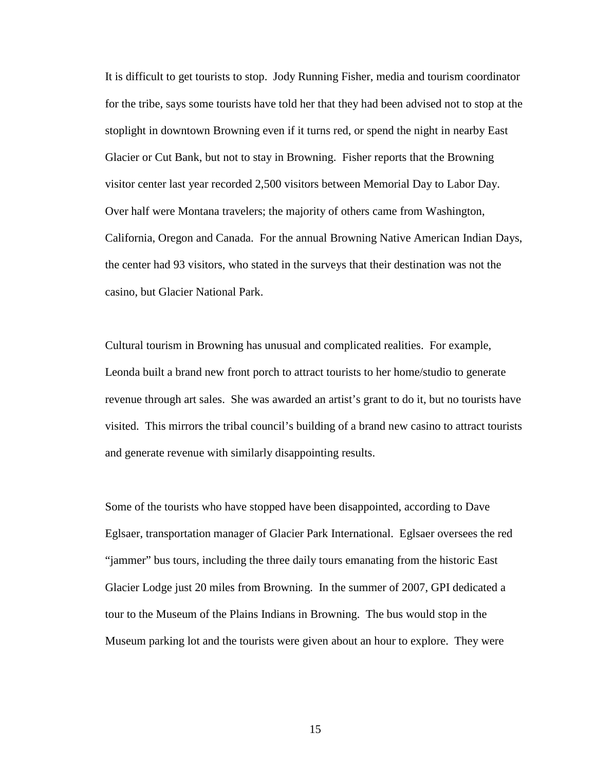It is difficult to get tourists to stop. Jody Running Fisher, media and tourism coordinator for the tribe, says some tourists have told her that they had been advised not to stop at the stoplight in downtown Browning even if it turns red, or spend the night in nearby East Glacier or Cut Bank, but not to stay in Browning. Fisher reports that the Browning visitor center last year recorded 2,500 visitors between Memorial Day to Labor Day. Over half were Montana travelers; the majority of others came from Washington, California, Oregon and Canada. For the annual Browning Native American Indian Days, the center had 93 visitors, who stated in the surveys that their destination was not the casino, but Glacier National Park.

Cultural tourism in Browning has unusual and complicated realities. For example, Leonda built a brand new front porch to attract tourists to her home/studio to generate revenue through art sales. She was awarded an artist's grant to do it, but no tourists have visited. This mirrors the tribal council's building of a brand new casino to attract tourists and generate revenue with similarly disappointing results.

Some of the tourists who have stopped have been disappointed, according to Dave Eglsaer, transportation manager of Glacier Park International. Eglsaer oversees the red "jammer" bus tours, including the three daily tours emanating from the historic East Glacier Lodge just 20 miles from Browning. In the summer of 2007, GPI dedicated a tour to the Museum of the Plains Indians in Browning. The bus would stop in the Museum parking lot and the tourists were given about an hour to explore. They were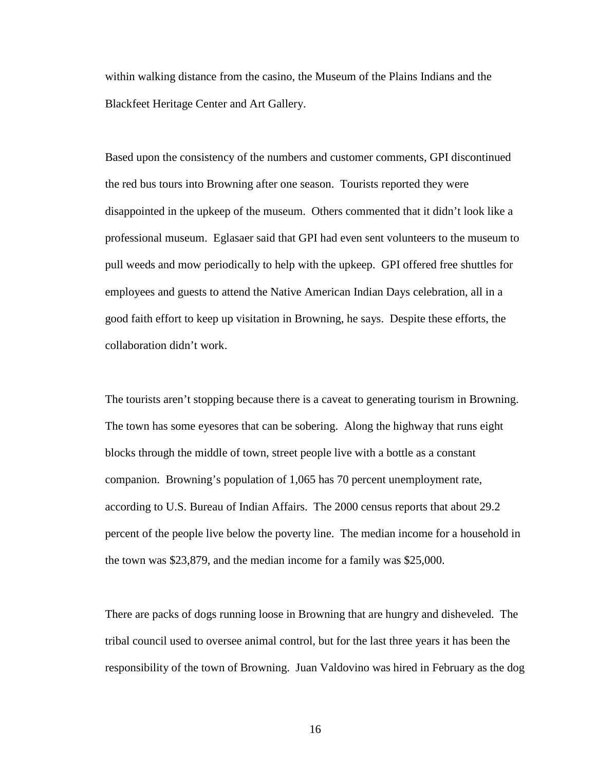within walking distance from the casino, the Museum of the Plains Indians and the Blackfeet Heritage Center and Art Gallery.

Based upon the consistency of the numbers and customer comments, GPI discontinued the red bus tours into Browning after one season. Tourists reported they were disappointed in the upkeep of the museum. Others commented that it didn't look like a professional museum. Eglasaer said that GPI had even sent volunteers to the museum to pull weeds and mow periodically to help with the upkeep. GPI offered free shuttles for employees and guests to attend the Native American Indian Days celebration, all in a good faith effort to keep up visitation in Browning, he says. Despite these efforts, the collaboration didn't work.

The tourists aren't stopping because there is a caveat to generating tourism in Browning. The town has some eyesores that can be sobering. Along the highway that runs eight blocks through the middle of town, street people live with a bottle as a constant companion. Browning's population of 1,065 has 70 percent unemployment rate, according to U.S. Bureau of Indian Affairs. The 2000 census reports that about 29.2 percent of the people live below the poverty line. The median income for a household in the town was \$23,879, and the median income for a family was \$25,000.

There are packs of dogs running loose in Browning that are hungry and disheveled. The tribal council used to oversee animal control, but for the last three years it has been the responsibility of the town of Browning. Juan Valdovino was hired in February as the dog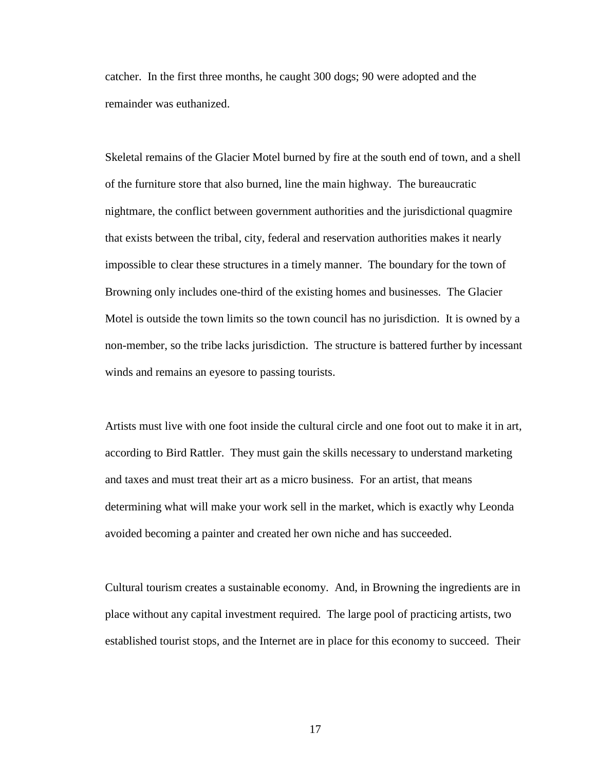catcher. In the first three months, he caught 300 dogs; 90 were adopted and the remainder was euthanized.

Skeletal remains of the Glacier Motel burned by fire at the south end of town, and a shell of the furniture store that also burned, line the main highway. The bureaucratic nightmare, the conflict between government authorities and the jurisdictional quagmire that exists between the tribal, city, federal and reservation authorities makes it nearly impossible to clear these structures in a timely manner. The boundary for the town of Browning only includes one-third of the existing homes and businesses. The Glacier Motel is outside the town limits so the town council has no jurisdiction. It is owned by a non-member, so the tribe lacks jurisdiction. The structure is battered further by incessant winds and remains an eyesore to passing tourists.

Artists must live with one foot inside the cultural circle and one foot out to make it in art, according to Bird Rattler. They must gain the skills necessary to understand marketing and taxes and must treat their art as a micro business. For an artist, that means determining what will make your work sell in the market, which is exactly why Leonda avoided becoming a painter and created her own niche and has succeeded.

Cultural tourism creates a sustainable economy. And, in Browning the ingredients are in place without any capital investment required. The large pool of practicing artists, two established tourist stops, and the Internet are in place for this economy to succeed. Their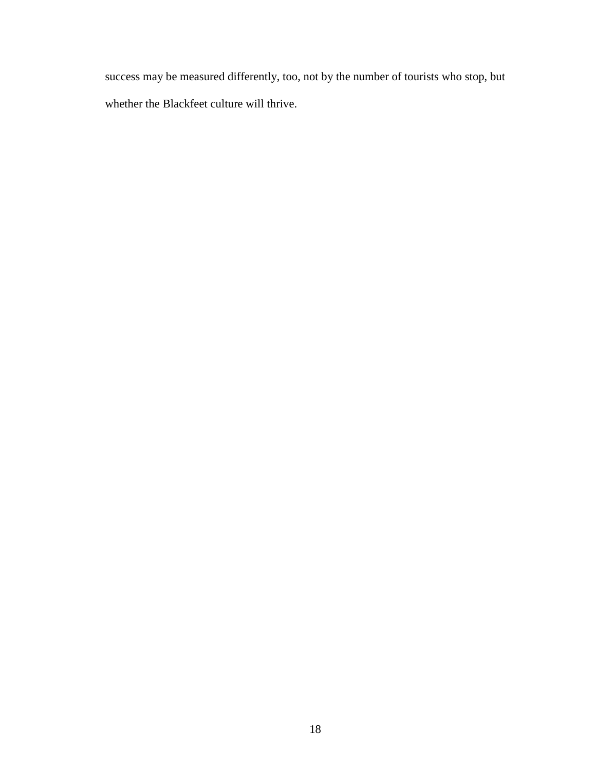success may be measured differently, too, not by the number of tourists who stop, but whether the Blackfeet culture will thrive.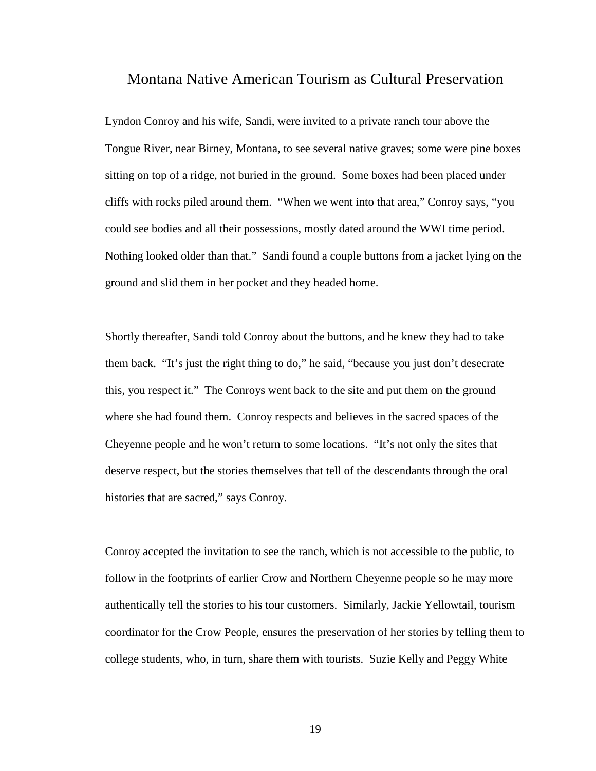## Montana Native American Tourism as Cultural Preservation

Lyndon Conroy and his wife, Sandi, were invited to a private ranch tour above the Tongue River, near Birney, Montana, to see several native graves; some were pine boxes sitting on top of a ridge, not buried in the ground. Some boxes had been placed under cliffs with rocks piled around them. "When we went into that area," Conroy says, "you could see bodies and all their possessions, mostly dated around the WWI time period. Nothing looked older than that." Sandi found a couple buttons from a jacket lying on the ground and slid them in her pocket and they headed home.

Shortly thereafter, Sandi told Conroy about the buttons, and he knew they had to take them back. "It's just the right thing to do," he said, "because you just don't desecrate this, you respect it." The Conroys went back to the site and put them on the ground where she had found them. Conroy respects and believes in the sacred spaces of the Cheyenne people and he won't return to some locations. "It's not only the sites that deserve respect, but the stories themselves that tell of the descendants through the oral histories that are sacred," says Conroy.

Conroy accepted the invitation to see the ranch, which is not accessible to the public, to follow in the footprints of earlier Crow and Northern Cheyenne people so he may more authentically tell the stories to his tour customers. Similarly, Jackie Yellowtail, tourism coordinator for the Crow People, ensures the preservation of her stories by telling them to college students, who, in turn, share them with tourists. Suzie Kelly and Peggy White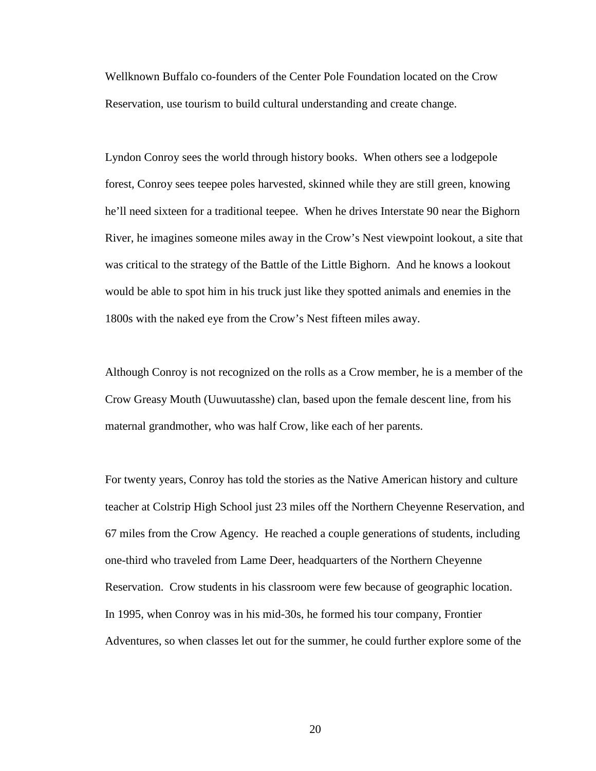Wellknown Buffalo co-founders of the Center Pole Foundation located on the Crow Reservation, use tourism to build cultural understanding and create change.

Lyndon Conroy sees the world through history books. When others see a lodgepole forest, Conroy sees teepee poles harvested, skinned while they are still green, knowing he'll need sixteen for a traditional teepee. When he drives Interstate 90 near the Bighorn River, he imagines someone miles away in the Crow's Nest viewpoint lookout, a site that was critical to the strategy of the Battle of the Little Bighorn. And he knows a lookout would be able to spot him in his truck just like they spotted animals and enemies in the 1800s with the naked eye from the Crow's Nest fifteen miles away.

Although Conroy is not recognized on the rolls as a Crow member, he is a member of the Crow Greasy Mouth (Uuwuutasshe) clan, based upon the female descent line, from his maternal grandmother, who was half Crow, like each of her parents.

For twenty years, Conroy has told the stories as the Native American history and culture teacher at Colstrip High School just 23 miles off the Northern Cheyenne Reservation, and 67 miles from the Crow Agency. He reached a couple generations of students, including one-third who traveled from Lame Deer, headquarters of the Northern Cheyenne Reservation. Crow students in his classroom were few because of geographic location. In 1995, when Conroy was in his mid-30s, he formed his tour company, Frontier Adventures, so when classes let out for the summer, he could further explore some of the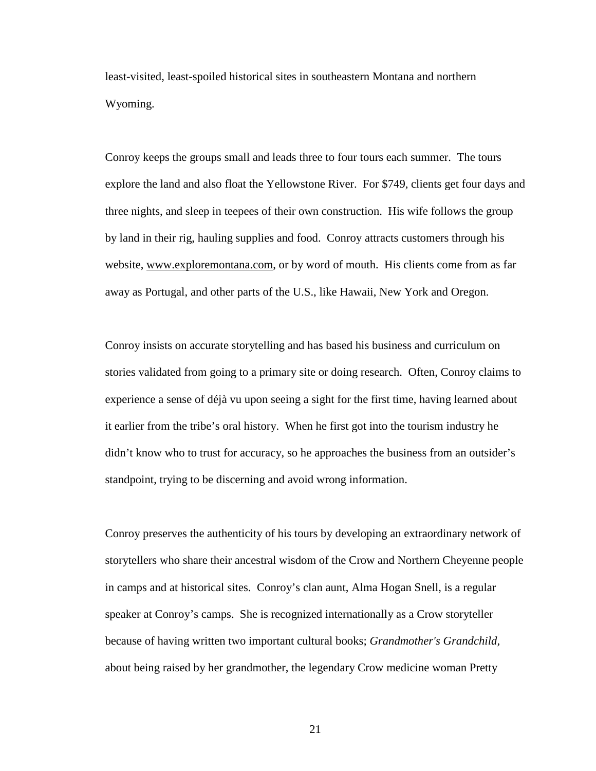least-visited, least-spoiled historical sites in southeastern Montana and northern Wyoming.

Conroy keeps the groups small and leads three to four tours each summer. The tours explore the land and also float the Yellowstone River. For \$749, clients get four days and three nights, and sleep in teepees of their own construction. His wife follows the group by land in their rig, hauling supplies and food. Conroy attracts customers through his website, [www.exploremontana.com,](http://www.exploremontana.com/) or by word of mouth. His clients come from as far away as Portugal, and other parts of the U.S., like Hawaii, New York and Oregon.

Conroy insists on accurate storytelling and has based his business and curriculum on stories validated from going to a primary site or doing research. Often, Conroy claims to experience a sense of déjà vu upon seeing a sight for the first time, having learned about it earlier from the tribe's oral history. When he first got into the tourism industry he didn't know who to trust for accuracy, so he approaches the business from an outsider's standpoint, trying to be discerning and avoid wrong information.

Conroy preserves the authenticity of his tours by developing an extraordinary network of storytellers who share their ancestral wisdom of the Crow and Northern Cheyenne people in camps and at historical sites. Conroy's clan aunt, Alma Hogan Snell, is a regular speaker at Conroy's camps. She is recognized internationally as a Crow storyteller because of having written two important cultural books; *Grandmother's Grandchild,*  about being raised by her grandmother, the legendary Crow medicine woman Pretty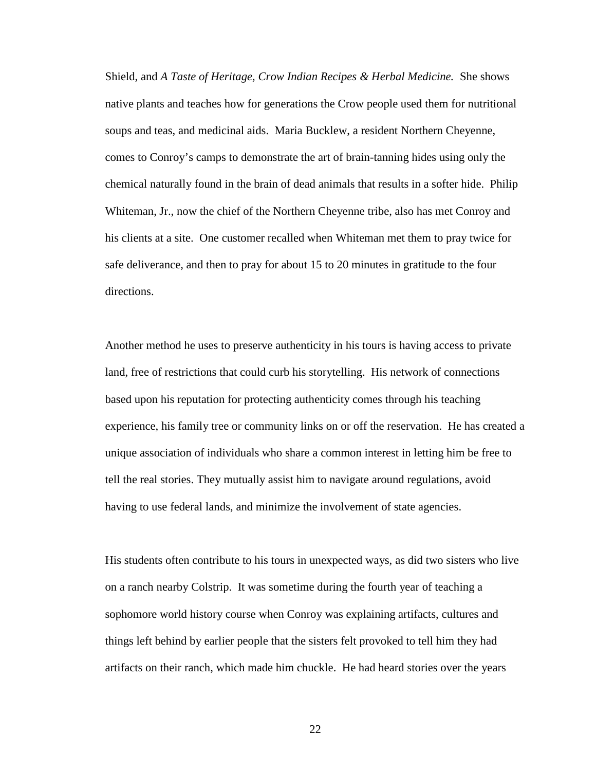Shield, and *A Taste of Heritage, Crow Indian Recipes & Herbal Medicine.* She shows native plants and teaches how for generations the Crow people used them for nutritional soups and teas, and medicinal aids. Maria Bucklew, a resident Northern Cheyenne, comes to Conroy's camps to demonstrate the art of brain-tanning hides using only the chemical naturally found in the brain of dead animals that results in a softer hide. Philip Whiteman, Jr., now the chief of the Northern Cheyenne tribe, also has met Conroy and his clients at a site. One customer recalled when Whiteman met them to pray twice for safe deliverance, and then to pray for about 15 to 20 minutes in gratitude to the four directions.

Another method he uses to preserve authenticity in his tours is having access to private land, free of restrictions that could curb his storytelling. His network of connections based upon his reputation for protecting authenticity comes through his teaching experience, his family tree or community links on or off the reservation. He has created a unique association of individuals who share a common interest in letting him be free to tell the real stories. They mutually assist him to navigate around regulations, avoid having to use federal lands, and minimize the involvement of state agencies.

His students often contribute to his tours in unexpected ways, as did two sisters who live on a ranch nearby Colstrip. It was sometime during the fourth year of teaching a sophomore world history course when Conroy was explaining artifacts, cultures and things left behind by earlier people that the sisters felt provoked to tell him they had artifacts on their ranch, which made him chuckle. He had heard stories over the years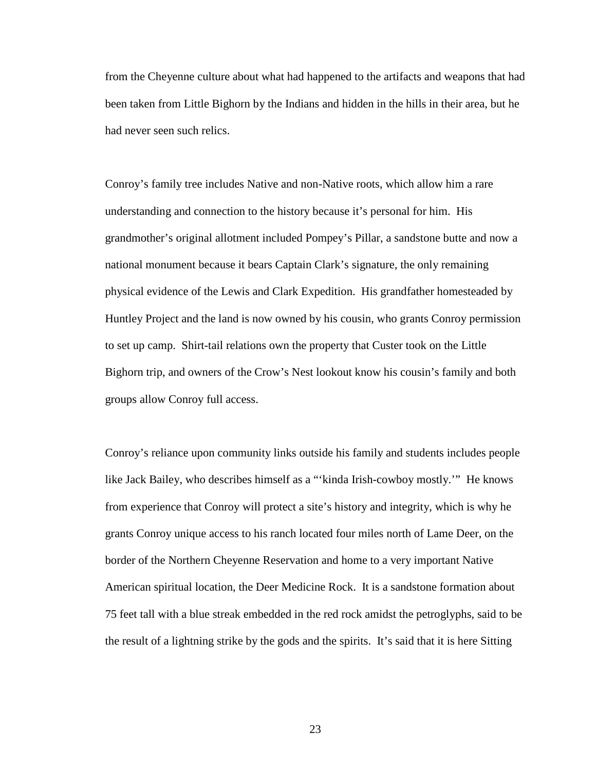from the Cheyenne culture about what had happened to the artifacts and weapons that had been taken from Little Bighorn by the Indians and hidden in the hills in their area, but he had never seen such relics.

Conroy's family tree includes Native and non-Native roots, which allow him a rare understanding and connection to the history because it's personal for him. His grandmother's original allotment included Pompey's Pillar, a sandstone butte and now a national monument because it bears Captain Clark's signature, the only remaining physical evidence of the Lewis and Clark Expedition. His grandfather homesteaded by Huntley Project and the land is now owned by his cousin, who grants Conroy permission to set up camp. Shirt-tail relations own the property that Custer took on the Little Bighorn trip, and owners of the Crow's Nest lookout know his cousin's family and both groups allow Conroy full access.

Conroy's reliance upon community links outside his family and students includes people like Jack Bailey, who describes himself as a "'kinda Irish-cowboy mostly.'" He knows from experience that Conroy will protect a site's history and integrity, which is why he grants Conroy unique access to his ranch located four miles north of Lame Deer, on the border of the Northern Cheyenne Reservation and home to a very important Native American spiritual location, the Deer Medicine Rock. It is a sandstone formation about 75 feet tall with a blue streak embedded in the red rock amidst the petroglyphs, said to be the result of a lightning strike by the gods and the spirits. It's said that it is here Sitting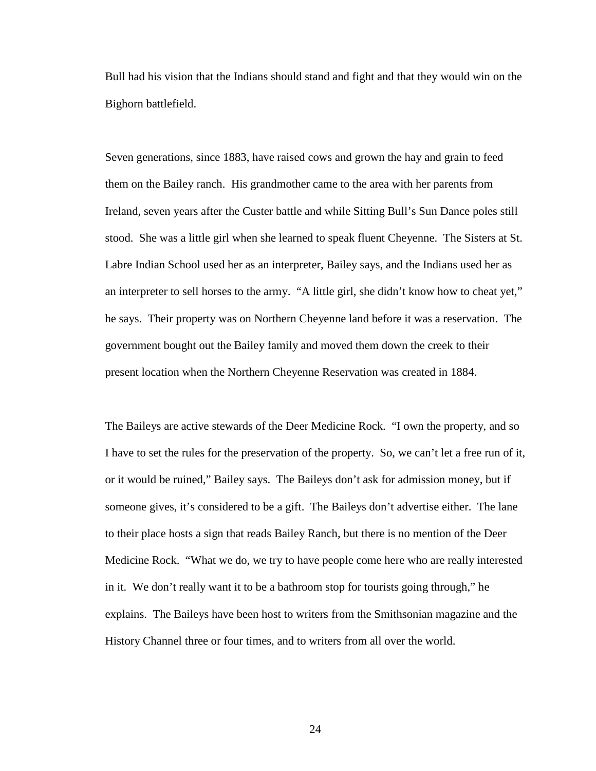Bull had his vision that the Indians should stand and fight and that they would win on the Bighorn battlefield.

Seven generations, since 1883, have raised cows and grown the hay and grain to feed them on the Bailey ranch. His grandmother came to the area with her parents from Ireland, seven years after the Custer battle and while Sitting Bull's Sun Dance poles still stood. She was a little girl when she learned to speak fluent Cheyenne. The Sisters at St. Labre Indian School used her as an interpreter, Bailey says, and the Indians used her as an interpreter to sell horses to the army. "A little girl, she didn't know how to cheat yet," he says. Their property was on Northern Cheyenne land before it was a reservation. The government bought out the Bailey family and moved them down the creek to their present location when the Northern Cheyenne Reservation was created in 1884.

The Baileys are active stewards of the Deer Medicine Rock. "I own the property, and so I have to set the rules for the preservation of the property. So, we can't let a free run of it, or it would be ruined," Bailey says. The Baileys don't ask for admission money, but if someone gives, it's considered to be a gift. The Baileys don't advertise either. The lane to their place hosts a sign that reads Bailey Ranch, but there is no mention of the Deer Medicine Rock. "What we do, we try to have people come here who are really interested in it. We don't really want it to be a bathroom stop for tourists going through," he explains. The Baileys have been host to writers from the Smithsonian magazine and the History Channel three or four times, and to writers from all over the world.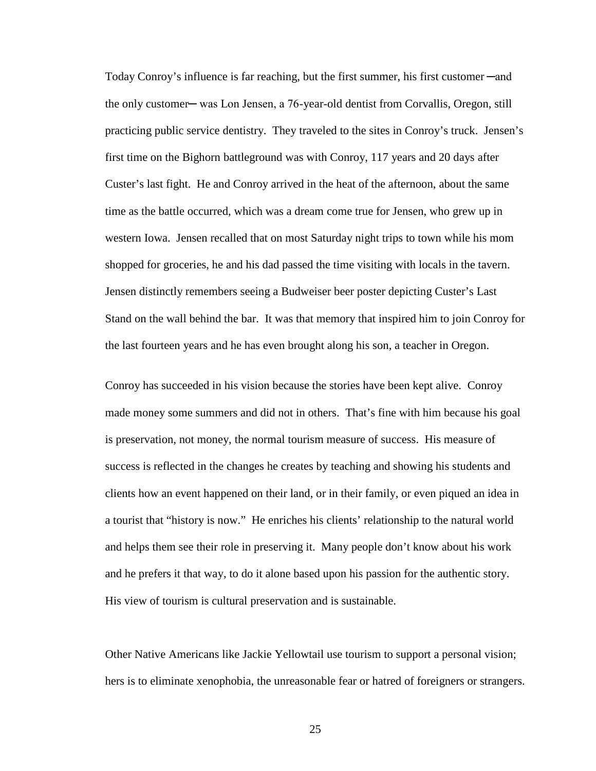Today Conroy's influence is far reaching, but the first summer, his first customer—and the only customer— was Lon Jensen, a 76-year-old dentist from Corvallis, Oregon, still practicing public service dentistry. They traveled to the sites in Conroy's truck. Jensen's first time on the Bighorn battleground was with Conroy, 117 years and 20 days after Custer's last fight. He and Conroy arrived in the heat of the afternoon, about the same time as the battle occurred, which was a dream come true for Jensen, who grew up in western Iowa. Jensen recalled that on most Saturday night trips to town while his mom shopped for groceries, he and his dad passed the time visiting with locals in the tavern. Jensen distinctly remembers seeing a Budweiser beer poster depicting Custer's Last Stand on the wall behind the bar. It was that memory that inspired him to join Conroy for the last fourteen years and he has even brought along his son, a teacher in Oregon.

Conroy has succeeded in his vision because the stories have been kept alive. Conroy made money some summers and did not in others. That's fine with him because his goal is preservation, not money, the normal tourism measure of success. His measure of success is reflected in the changes he creates by teaching and showing his students and clients how an event happened on their land, or in their family, or even piqued an idea in a tourist that "history is now." He enriches his clients' relationship to the natural world and helps them see their role in preserving it. Many people don't know about his work and he prefers it that way, to do it alone based upon his passion for the authentic story. His view of tourism is cultural preservation and is sustainable.

Other Native Americans like Jackie Yellowtail use tourism to support a personal vision; hers is to eliminate xenophobia, the unreasonable fear or hatred of foreigners or strangers.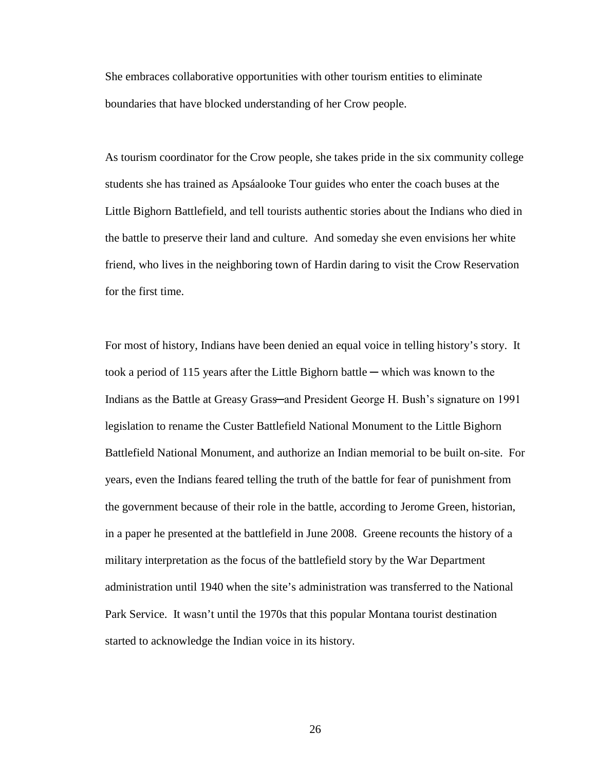She embraces collaborative opportunities with other tourism entities to eliminate boundaries that have blocked understanding of her Crow people.

As tourism coordinator for the Crow people, she takes pride in the six community college students she has trained as Apsáalooke Tour guides who enter the coach buses at the Little Bighorn Battlefield, and tell tourists authentic stories about the Indians who died in the battle to preserve their land and culture. And someday she even envisions her white friend, who lives in the neighboring town of Hardin daring to visit the Crow Reservation for the first time.

For most of history, Indians have been denied an equal voice in telling history's story. It took a period of 115 years after the Little Bighorn battle ─ which was known to the Indians as the Battle at Greasy Grass—and President George H. Bush's signature on 1991 legislation to rename the Custer Battlefield National Monument to the Little Bighorn Battlefield National Monument, and authorize an Indian memorial to be built on-site. For years, even the Indians feared telling the truth of the battle for fear of punishment from the government because of their role in the battle, according to Jerome Green, historian, in a paper he presented at the battlefield in June 2008. Greene recounts the history of a military interpretation as the focus of the battlefield story by the War Department administration until 1940 when the site's administration was transferred to the National Park Service. It wasn't until the 1970s that this popular Montana tourist destination started to acknowledge the Indian voice in its history.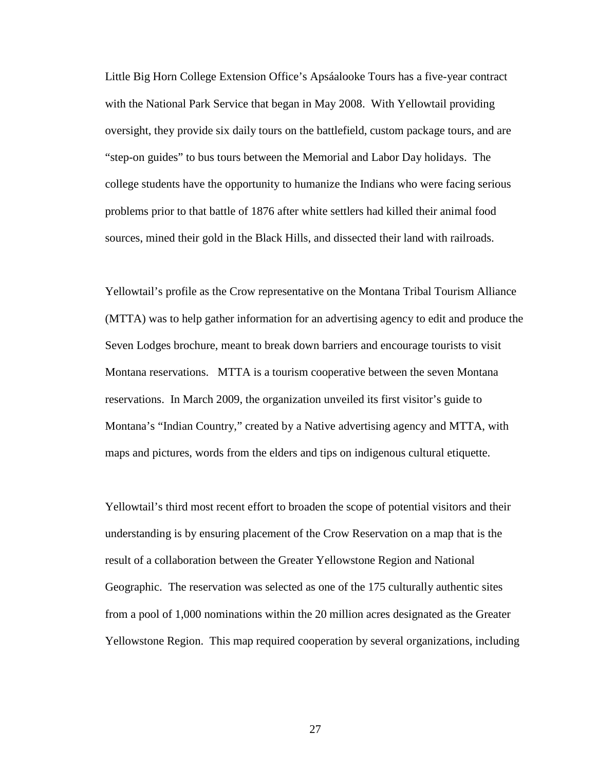Little Big Horn College Extension Office's Apsáalooke Tours has a five-year contract with the National Park Service that began in May 2008. With Yellowtail providing oversight, they provide six daily tours on the battlefield, custom package tours, and are "step-on guides" to bus tours between the Memorial and Labor Day holidays. The college students have the opportunity to humanize the Indians who were facing serious problems prior to that battle of 1876 after white settlers had killed their animal food sources, mined their gold in the Black Hills, and dissected their land with railroads.

Yellowtail's profile as the Crow representative on the Montana Tribal Tourism Alliance (MTTA) was to help gather information for an advertising agency to edit and produce the Seven Lodges brochure, meant to break down barriers and encourage tourists to visit Montana reservations. MTTA is a tourism cooperative between the seven Montana reservations. In March 2009, the organization unveiled its first visitor's guide to Montana's "Indian Country," created by a Native advertising agency and MTTA, with maps and pictures, words from the elders and tips on indigenous cultural etiquette.

Yellowtail's third most recent effort to broaden the scope of potential visitors and their understanding is by ensuring placement of the Crow Reservation on a map that is the result of a collaboration between the Greater Yellowstone Region and National Geographic. The reservation was selected as one of the 175 culturally authentic sites from a pool of 1,000 nominations within the 20 million acres designated as the Greater Yellowstone Region. This map required cooperation by several organizations, including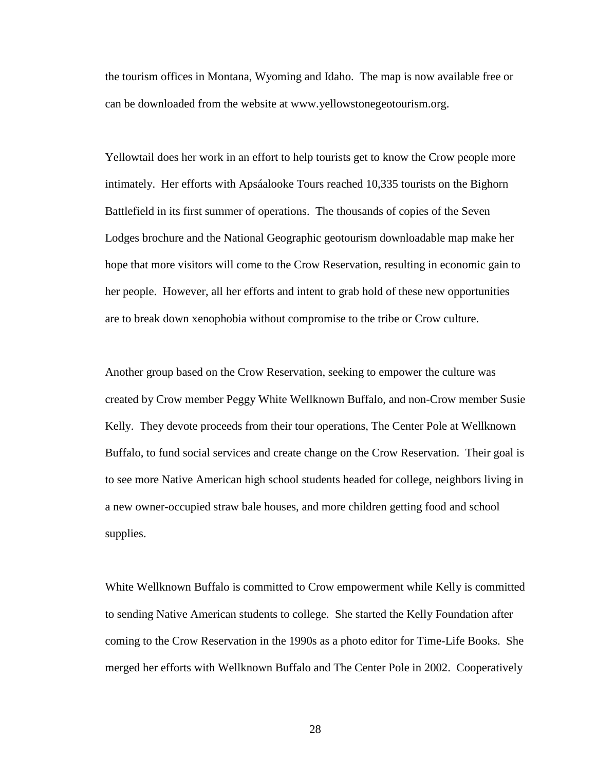the tourism offices in Montana, Wyoming and Idaho. The map is now available free or can be downloaded from the website at www.yellowstonegeotourism.org.

Yellowtail does her work in an effort to help tourists get to know the Crow people more intimately. Her efforts with Apsáalooke Tours reached 10,335 tourists on the Bighorn Battlefield in its first summer of operations. The thousands of copies of the Seven Lodges brochure and the National Geographic geotourism downloadable map make her hope that more visitors will come to the Crow Reservation, resulting in economic gain to her people. However, all her efforts and intent to grab hold of these new opportunities are to break down xenophobia without compromise to the tribe or Crow culture.

Another group based on the Crow Reservation, seeking to empower the culture was created by Crow member Peggy White Wellknown Buffalo, and non-Crow member Susie Kelly. They devote proceeds from their tour operations, The Center Pole at Wellknown Buffalo, to fund social services and create change on the Crow Reservation. Their goal is to see more Native American high school students headed for college, neighbors living in a new owner-occupied straw bale houses, and more children getting food and school supplies.

White Wellknown Buffalo is committed to Crow empowerment while Kelly is committed to sending Native American students to college. She started the Kelly Foundation after coming to the Crow Reservation in the 1990s as a photo editor for Time-Life Books. She merged her efforts with Wellknown Buffalo and The Center Pole in 2002. Cooperatively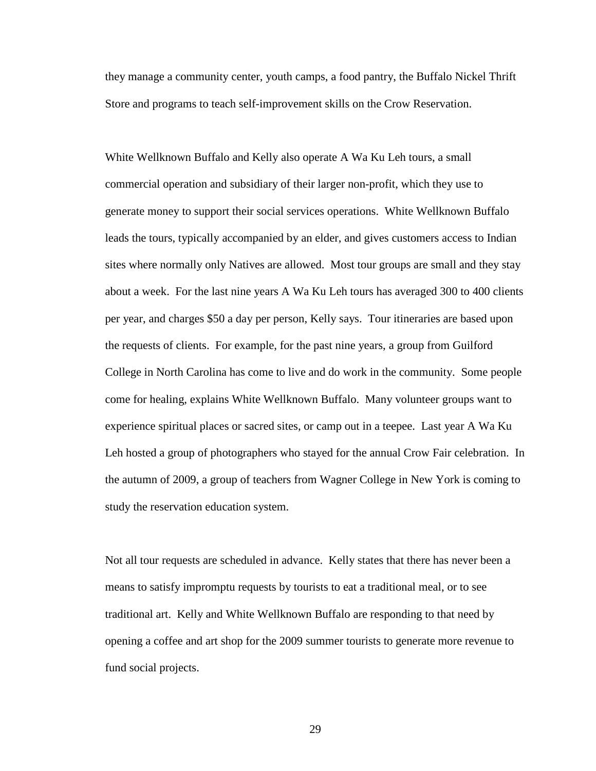they manage a community center, youth camps, a food pantry, the Buffalo Nickel Thrift Store and programs to teach self-improvement skills on the Crow Reservation.

White Wellknown Buffalo and Kelly also operate A Wa Ku Leh tours, a small commercial operation and subsidiary of their larger non-profit, which they use to generate money to support their social services operations. White Wellknown Buffalo leads the tours, typically accompanied by an elder, and gives customers access to Indian sites where normally only Natives are allowed. Most tour groups are small and they stay about a week. For the last nine years A Wa Ku Leh tours has averaged 300 to 400 clients per year, and charges \$50 a day per person, Kelly says. Tour itineraries are based upon the requests of clients. For example, for the past nine years, a group from Guilford College in North Carolina has come to live and do work in the community. Some people come for healing, explains White Wellknown Buffalo. Many volunteer groups want to experience spiritual places or sacred sites, or camp out in a teepee. Last year A Wa Ku Leh hosted a group of photographers who stayed for the annual Crow Fair celebration. In the autumn of 2009, a group of teachers from Wagner College in New York is coming to study the reservation education system.

Not all tour requests are scheduled in advance. Kelly states that there has never been a means to satisfy impromptu requests by tourists to eat a traditional meal, or to see traditional art. Kelly and White Wellknown Buffalo are responding to that need by opening a coffee and art shop for the 2009 summer tourists to generate more revenue to fund social projects.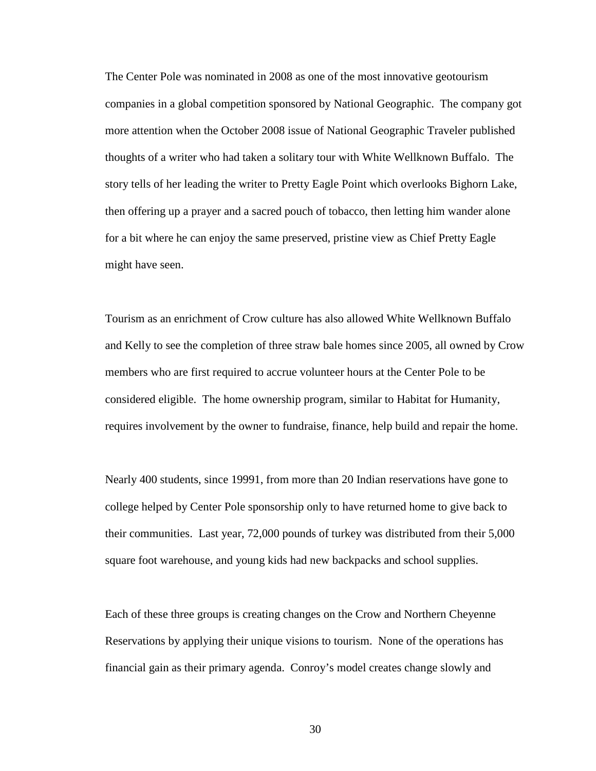The Center Pole was nominated in 2008 as one of the most innovative geotourism companies in a global competition sponsored by National Geographic. The company got more attention when the October 2008 issue of National Geographic Traveler published thoughts of a writer who had taken a solitary tour with White Wellknown Buffalo. The story tells of her leading the writer to Pretty Eagle Point which overlooks Bighorn Lake, then offering up a prayer and a sacred pouch of tobacco, then letting him wander alone for a bit where he can enjoy the same preserved, pristine view as Chief Pretty Eagle might have seen.

Tourism as an enrichment of Crow culture has also allowed White Wellknown Buffalo and Kelly to see the completion of three straw bale homes since 2005, all owned by Crow members who are first required to accrue volunteer hours at the Center Pole to be considered eligible. The home ownership program, similar to Habitat for Humanity, requires involvement by the owner to fundraise, finance, help build and repair the home.

Nearly 400 students, since 19991, from more than 20 Indian reservations have gone to college helped by Center Pole sponsorship only to have returned home to give back to their communities. Last year, 72,000 pounds of turkey was distributed from their 5,000 square foot warehouse, and young kids had new backpacks and school supplies.

Each of these three groups is creating changes on the Crow and Northern Cheyenne Reservations by applying their unique visions to tourism. None of the operations has financial gain as their primary agenda. Conroy's model creates change slowly and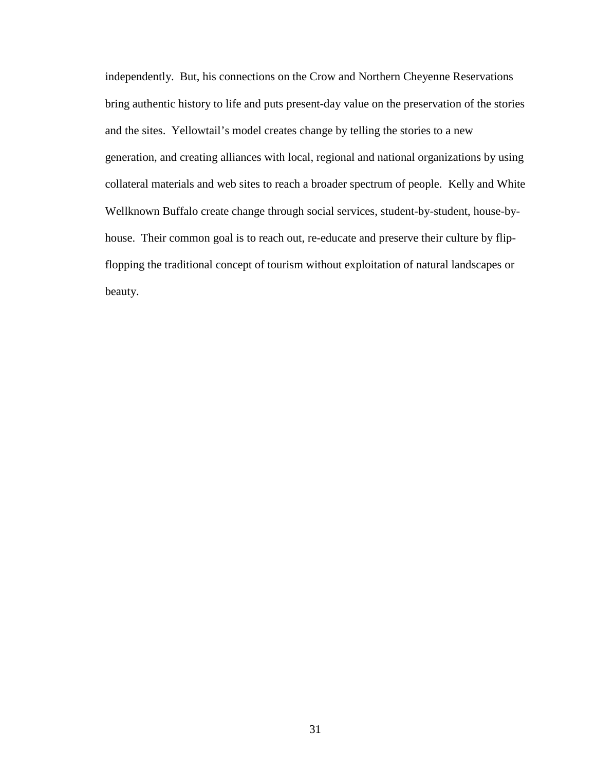independently. But, his connections on the Crow and Northern Cheyenne Reservations bring authentic history to life and puts present-day value on the preservation of the stories and the sites. Yellowtail's model creates change by telling the stories to a new generation, and creating alliances with local, regional and national organizations by using collateral materials and web sites to reach a broader spectrum of people. Kelly and White Wellknown Buffalo create change through social services, student-by-student, house-byhouse. Their common goal is to reach out, re-educate and preserve their culture by flipflopping the traditional concept of tourism without exploitation of natural landscapes or beauty.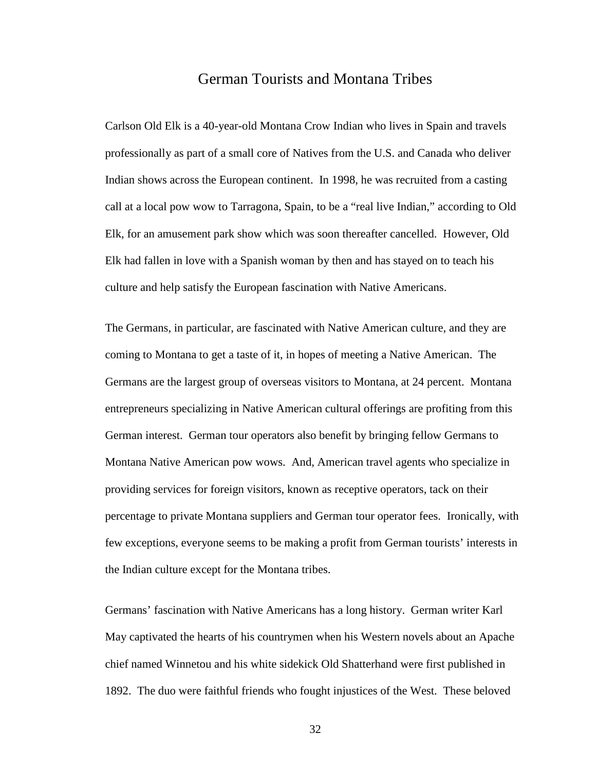## German Tourists and Montana Tribes

Carlson Old Elk is a 40-year-old Montana Crow Indian who lives in Spain and travels professionally as part of a small core of Natives from the U.S. and Canada who deliver Indian shows across the European continent. In 1998, he was recruited from a casting call at a local pow wow to Tarragona, Spain, to be a "real live Indian," according to Old Elk, for an amusement park show which was soon thereafter cancelled. However, Old Elk had fallen in love with a Spanish woman by then and has stayed on to teach his culture and help satisfy the European fascination with Native Americans.

The Germans, in particular, are fascinated with Native American culture, and they are coming to Montana to get a taste of it, in hopes of meeting a Native American. The Germans are the largest group of overseas visitors to Montana, at 24 percent. Montana entrepreneurs specializing in Native American cultural offerings are profiting from this German interest. German tour operators also benefit by bringing fellow Germans to Montana Native American pow wows. And, American travel agents who specialize in providing services for foreign visitors, known as receptive operators, tack on their percentage to private Montana suppliers and German tour operator fees. Ironically, with few exceptions, everyone seems to be making a profit from German tourists' interests in the Indian culture except for the Montana tribes.

Germans' fascination with Native Americans has a long history. German writer Karl May captivated the hearts of his countrymen when his Western novels about an Apache chief named Winnetou and his white sidekick Old Shatterhand were first published in 1892. The duo were faithful friends who fought injustices of the West. These beloved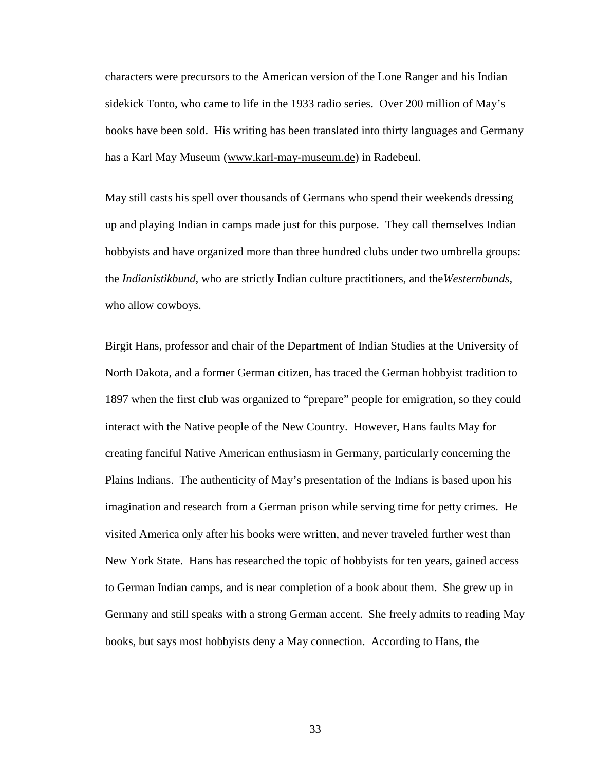characters were precursors to the American version of the Lone Ranger and his Indian sidekick Tonto, who came to life in the 1933 radio series. Over 200 million of May's books have been sold. His writing has been translated into thirty languages and Germany has a Karl May Museum [\(www.karl-may-museum.de\)](http://www.karl-may-museum.de/) in Radebeul.

May still casts his spell over thousands of Germans who spend their weekends dressing up and playing Indian in camps made just for this purpose. They call themselves Indian hobbyists and have organized more than three hundred clubs under two umbrella groups: the *Indianistikbund,* who are strictly Indian culture practitioners, and the*Westernbunds,* who allow cowboys.

Birgit Hans, professor and chair of the Department of Indian Studies at the University of North Dakota, and a former German citizen, has traced the German hobbyist tradition to 1897 when the first club was organized to "prepare" people for emigration, so they could interact with the Native people of the New Country. However, Hans faults May for creating fanciful Native American enthusiasm in Germany, particularly concerning the Plains Indians. The authenticity of May's presentation of the Indians is based upon his imagination and research from a German prison while serving time for petty crimes. He visited America only after his books were written, and never traveled further west than New York State. Hans has researched the topic of hobbyists for ten years, gained access to German Indian camps, and is near completion of a book about them. She grew up in Germany and still speaks with a strong German accent. She freely admits to reading May books, but says most hobbyists deny a May connection. According to Hans, the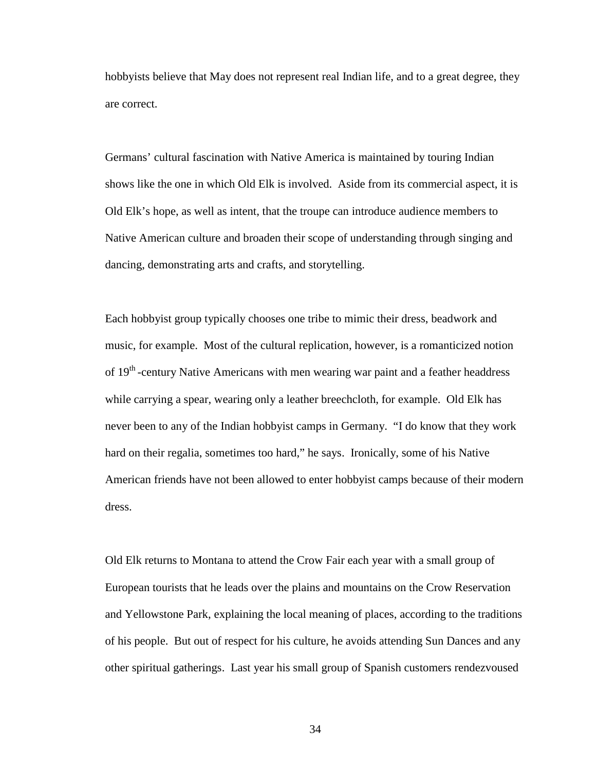hobbyists believe that May does not represent real Indian life, and to a great degree, they are correct.

Germans' cultural fascination with Native America is maintained by touring Indian shows like the one in which Old Elk is involved. Aside from its commercial aspect, it is Old Elk's hope, as well as intent, that the troupe can introduce audience members to Native American culture and broaden their scope of understanding through singing and dancing, demonstrating arts and crafts, and storytelling.

Each hobbyist group typically chooses one tribe to mimic their dress, beadwork and music, for example. Most of the cultural replication, however, is a romanticized notion of 19<sup>th</sup> -century Native Americans with men wearing war paint and a feather headdress while carrying a spear, wearing only a leather breechcloth, for example. Old Elk has never been to any of the Indian hobbyist camps in Germany. "I do know that they work hard on their regalia, sometimes too hard," he says. Ironically, some of his Native American friends have not been allowed to enter hobbyist camps because of their modern dress.

Old Elk returns to Montana to attend the Crow Fair each year with a small group of European tourists that he leads over the plains and mountains on the Crow Reservation and Yellowstone Park, explaining the local meaning of places, according to the traditions of his people. But out of respect for his culture, he avoids attending Sun Dances and any other spiritual gatherings. Last year his small group of Spanish customers rendezvoused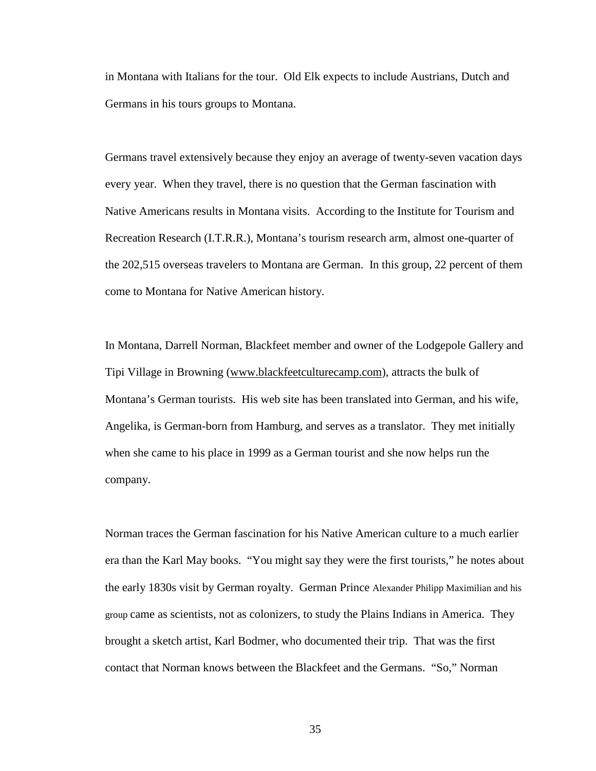in Montana with Italians for the tour. Old Elk expects to include Austrians, Dutch and Germans in his tours groups to Montana.

Germans travel extensively because they enjoy an average of twenty-seven vacation days every year. When they travel, there is no question that the German fascination with Native Americans results in Montana visits. According to the Institute for Tourism and Recreation Research (I.T.R.R.), Montana's tourism research arm, almost one-quarter of the 202,515 overseas travelers to Montana are German. In this group, 22 percent of them come to Montana for Native American history.

In Montana, Darrell Norman, Blackfeet member and owner of the Lodgepole Gallery and Tipi Village in Browning [\(www.blackfeetculturecamp.com\)](http://www.blackfeetculturecamp.com/), attracts the bulk of Montana's German tourists. His web site has been translated into German, and his wife, Angelika, is German-born from Hamburg, and serves as a translator. They met initially when she came to his place in 1999 as a German tourist and she now helps run the company.

Norman traces the German fascination for his Native American culture to a much earlier era than the Karl May books. "You might say they were the first tourists," he notes about the early 1830s visit by German royalty. German Prince Alexander Philipp Maximilian and his group came as scientists, not as colonizers, to study the Plains Indians in America. They brought a sketch artist, Karl Bodmer, who documented their trip. That was the first contact that Norman knows between the Blackfeet and the Germans. "So," Norman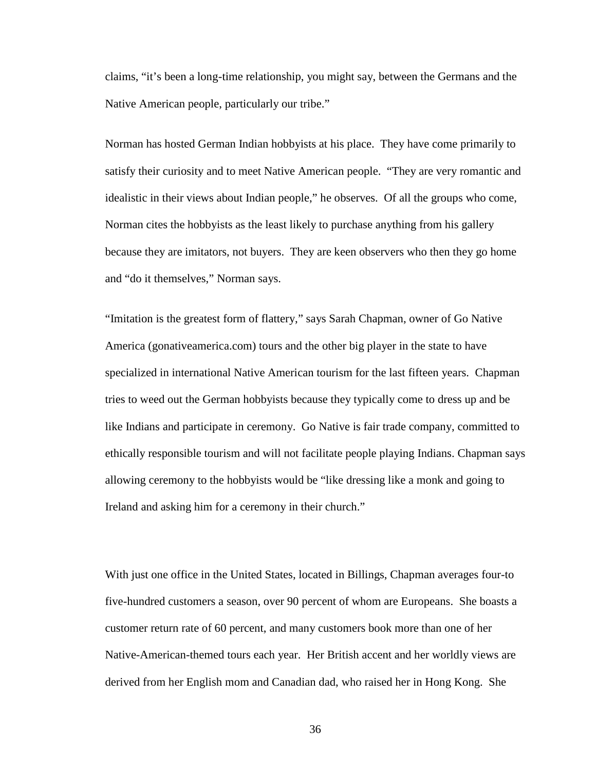claims, "it's been a long-time relationship, you might say, between the Germans and the Native American people, particularly our tribe."

Norman has hosted German Indian hobbyists at his place. They have come primarily to satisfy their curiosity and to meet Native American people. "They are very romantic and idealistic in their views about Indian people," he observes. Of all the groups who come, Norman cites the hobbyists as the least likely to purchase anything from his gallery because they are imitators, not buyers. They are keen observers who then they go home and "do it themselves," Norman says.

"Imitation is the greatest form of flattery," says Sarah Chapman, owner of Go Native America (gonativeamerica.com) tours and the other big player in the state to have specialized in international Native American tourism for the last fifteen years. Chapman tries to weed out the German hobbyists because they typically come to dress up and be like Indians and participate in ceremony. Go Native is fair trade company, committed to ethically responsible tourism and will not facilitate people playing Indians. Chapman says allowing ceremony to the hobbyists would be "like dressing like a monk and going to Ireland and asking him for a ceremony in their church."

With just one office in the United States, located in Billings, Chapman averages four-to five-hundred customers a season, over 90 percent of whom are Europeans. She boasts a customer return rate of 60 percent, and many customers book more than one of her Native-American-themed tours each year. Her British accent and her worldly views are derived from her English mom and Canadian dad, who raised her in Hong Kong. She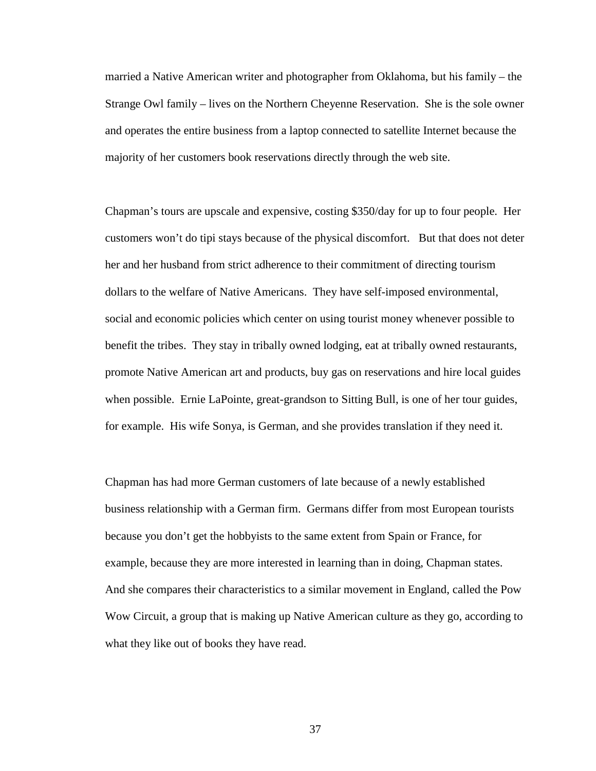married a Native American writer and photographer from Oklahoma, but his family – the Strange Owl family – lives on the Northern Cheyenne Reservation. She is the sole owner and operates the entire business from a laptop connected to satellite Internet because the majority of her customers book reservations directly through the web site.

Chapman's tours are upscale and expensive, costing \$350/day for up to four people. Her customers won't do tipi stays because of the physical discomfort. But that does not deter her and her husband from strict adherence to their commitment of directing tourism dollars to the welfare of Native Americans. They have self-imposed environmental, social and economic policies which center on using tourist money whenever possible to benefit the tribes. They stay in tribally owned lodging, eat at tribally owned restaurants, promote Native American art and products, buy gas on reservations and hire local guides when possible. Ernie LaPointe, great-grandson to Sitting Bull, is one of her tour guides, for example. His wife Sonya, is German, and she provides translation if they need it.

Chapman has had more German customers of late because of a newly established business relationship with a German firm. Germans differ from most European tourists because you don't get the hobbyists to the same extent from Spain or France, for example, because they are more interested in learning than in doing, Chapman states. And she compares their characteristics to a similar movement in England, called the Pow Wow Circuit, a group that is making up Native American culture as they go, according to what they like out of books they have read.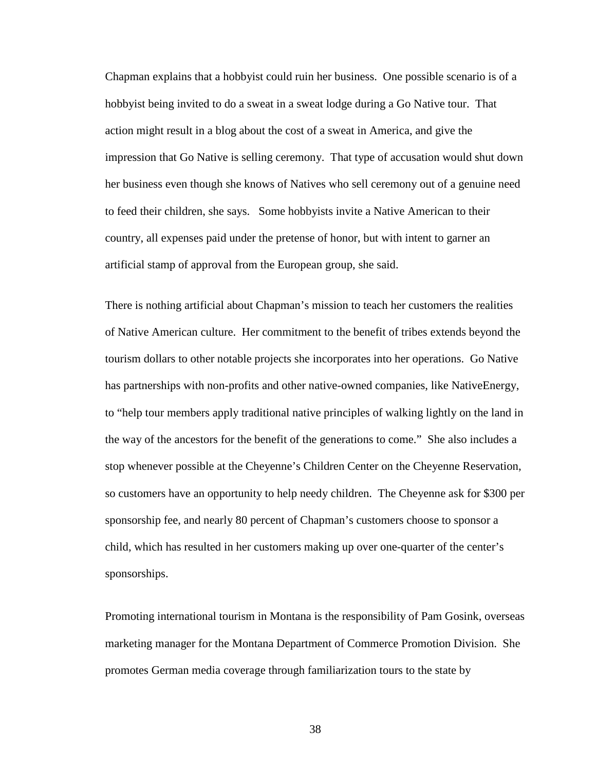Chapman explains that a hobbyist could ruin her business. One possible scenario is of a hobbyist being invited to do a sweat in a sweat lodge during a Go Native tour. That action might result in a blog about the cost of a sweat in America, and give the impression that Go Native is selling ceremony. That type of accusation would shut down her business even though she knows of Natives who sell ceremony out of a genuine need to feed their children, she says. Some hobbyists invite a Native American to their country, all expenses paid under the pretense of honor, but with intent to garner an artificial stamp of approval from the European group, she said.

There is nothing artificial about Chapman's mission to teach her customers the realities of Native American culture. Her commitment to the benefit of tribes extends beyond the tourism dollars to other notable projects she incorporates into her operations. Go Native has partnerships with non-profits and other native-owned companies, like NativeEnergy, to "help tour members apply traditional native principles of walking lightly on the land in the way of the ancestors for the benefit of the generations to come." She also includes a stop whenever possible at the Cheyenne's Children Center on the Cheyenne Reservation, so customers have an opportunity to help needy children. The Cheyenne ask for \$300 per sponsorship fee, and nearly 80 percent of Chapman's customers choose to sponsor a child, which has resulted in her customers making up over one-quarter of the center's sponsorships.

Promoting international tourism in Montana is the responsibility of Pam Gosink, overseas marketing manager for the Montana Department of Commerce Promotion Division. She promotes German media coverage through familiarization tours to the state by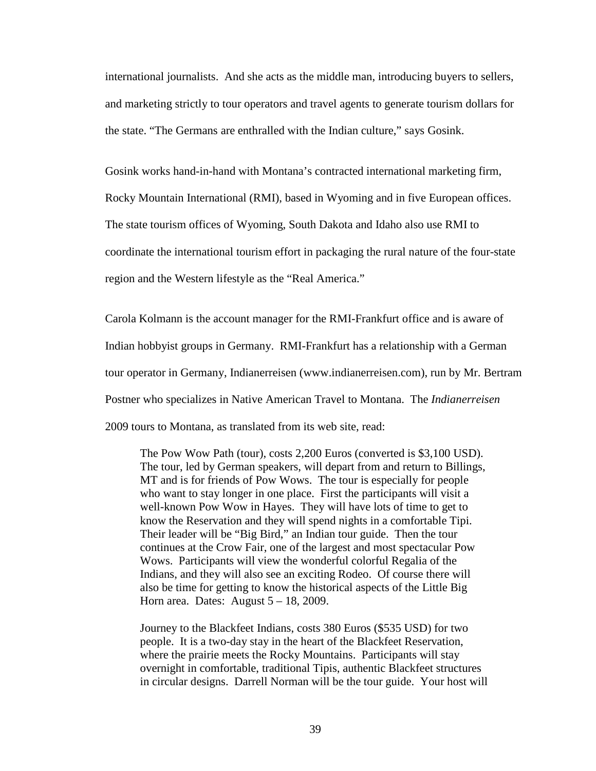international journalists. And she acts as the middle man, introducing buyers to sellers, and marketing strictly to tour operators and travel agents to generate tourism dollars for the state. "The Germans are enthralled with the Indian culture," says Gosink.

Gosink works hand-in-hand with Montana's contracted international marketing firm, Rocky Mountain International (RMI), based in Wyoming and in five European offices. The state tourism offices of Wyoming, South Dakota and Idaho also use RMI to coordinate the international tourism effort in packaging the rural nature of the four-state region and the Western lifestyle as the "Real America."

Carola Kolmann is the account manager for the RMI-Frankfurt office and is aware of Indian hobbyist groups in Germany. RMI-Frankfurt has a relationship with a German tour operator in Germany, Indianerreisen (www.indianerreisen.com), run by Mr. Bertram Postner who specializes in Native American Travel to Montana. The *Indianerreisen* 2009 tours to Montana, as translated from its web site, read:

The Pow Wow Path (tour), costs 2,200 Euros (converted is \$3,100 USD). The tour, led by German speakers, will depart from and return to Billings, MT and is for friends of Pow Wows. The tour is especially for people who want to stay longer in one place. First the participants will visit a well-known Pow Wow in Hayes. They will have lots of time to get to know the Reservation and they will spend nights in a comfortable Tipi. Their leader will be "Big Bird," an Indian tour guide. Then the tour continues at the Crow Fair, one of the largest and most spectacular Pow Wows. Participants will view the wonderful colorful Regalia of the Indians, and they will also see an exciting Rodeo. Of course there will also be time for getting to know the historical aspects of the Little Big Horn area. Dates: August  $5 - 18$ , 2009.

Journey to the Blackfeet Indians, costs 380 Euros (\$535 USD) for two people. It is a two-day stay in the heart of the Blackfeet Reservation, where the prairie meets the Rocky Mountains. Participants will stay overnight in comfortable, traditional Tipis, authentic Blackfeet structures in circular designs. Darrell Norman will be the tour guide. Your host will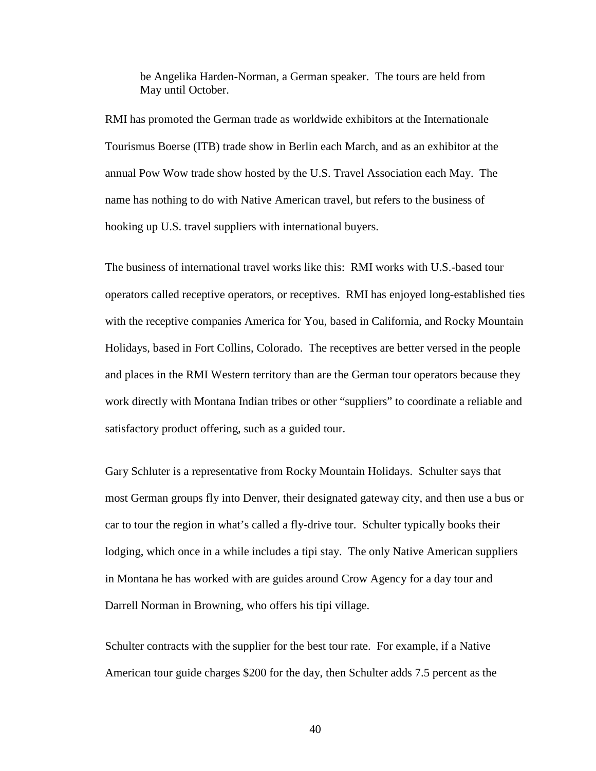be Angelika Harden-Norman, a German speaker. The tours are held from May until October.

RMI has promoted the German trade as worldwide exhibitors at the Internationale Tourismus Boerse (ITB) trade show in Berlin each March, and as an exhibitor at the annual Pow Wow trade show hosted by the U.S. Travel Association each May. The name has nothing to do with Native American travel, but refers to the business of hooking up U.S. travel suppliers with international buyers.

The business of international travel works like this: RMI works with U.S.-based tour operators called receptive operators, or receptives. RMI has enjoyed long-established ties with the receptive companies America for You, based in California, and Rocky Mountain Holidays, based in Fort Collins, Colorado. The receptives are better versed in the people and places in the RMI Western territory than are the German tour operators because they work directly with Montana Indian tribes or other "suppliers" to coordinate a reliable and satisfactory product offering, such as a guided tour.

Gary Schluter is a representative from Rocky Mountain Holidays. Schulter says that most German groups fly into Denver, their designated gateway city, and then use a bus or car to tour the region in what's called a fly-drive tour. Schulter typically books their lodging, which once in a while includes a tipi stay. The only Native American suppliers in Montana he has worked with are guides around Crow Agency for a day tour and Darrell Norman in Browning, who offers his tipi village.

Schulter contracts with the supplier for the best tour rate. For example, if a Native American tour guide charges \$200 for the day, then Schulter adds 7.5 percent as the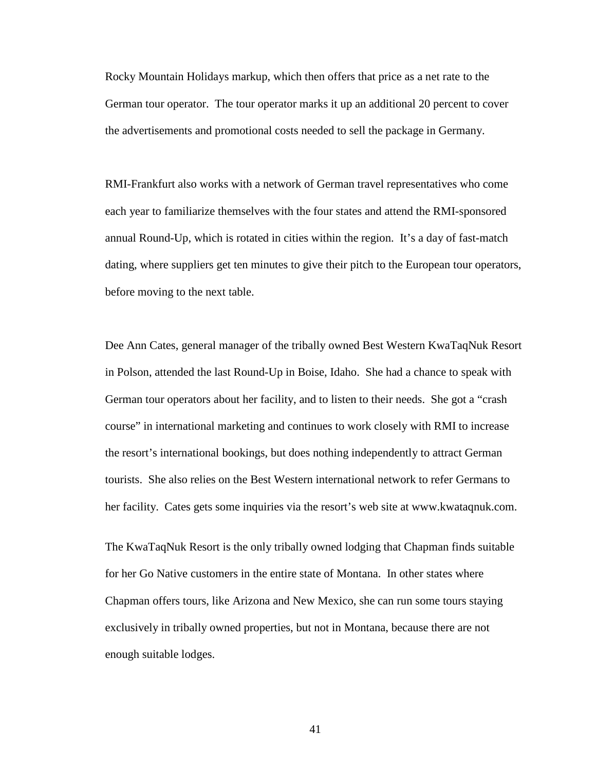Rocky Mountain Holidays markup, which then offers that price as a net rate to the German tour operator. The tour operator marks it up an additional 20 percent to cover the advertisements and promotional costs needed to sell the package in Germany.

RMI-Frankfurt also works with a network of German travel representatives who come each year to familiarize themselves with the four states and attend the RMI-sponsored annual Round-Up, which is rotated in cities within the region. It's a day of fast-match dating, where suppliers get ten minutes to give their pitch to the European tour operators, before moving to the next table.

Dee Ann Cates, general manager of the tribally owned Best Western KwaTaqNuk Resort in Polson, attended the last Round-Up in Boise, Idaho. She had a chance to speak with German tour operators about her facility, and to listen to their needs. She got a "crash course" in international marketing and continues to work closely with RMI to increase the resort's international bookings, but does nothing independently to attract German tourists. She also relies on the Best Western international network to refer Germans to her facility. Cates gets some inquiries via the resort's web site at www.kwataqnuk.com.

The KwaTaqNuk Resort is the only tribally owned lodging that Chapman finds suitable for her Go Native customers in the entire state of Montana. In other states where Chapman offers tours, like Arizona and New Mexico, she can run some tours staying exclusively in tribally owned properties, but not in Montana, because there are not enough suitable lodges.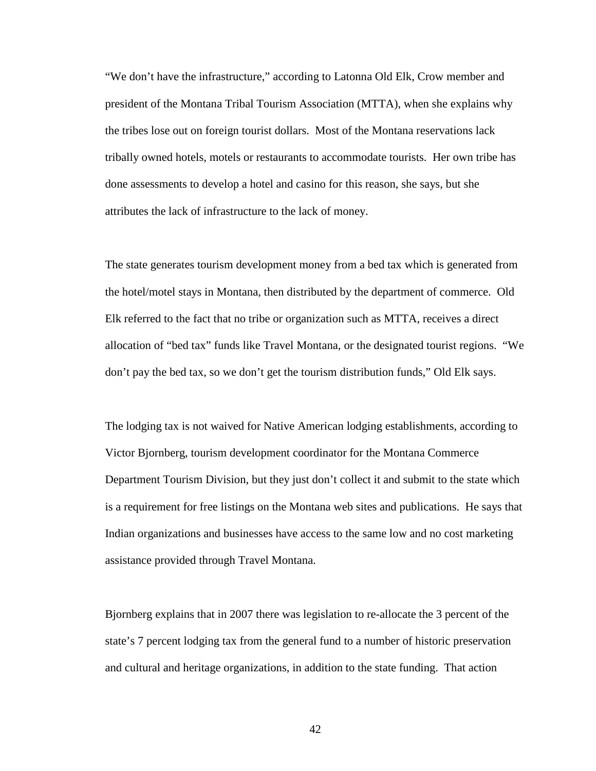"We don't have the infrastructure," according to Latonna Old Elk, Crow member and president of the Montana Tribal Tourism Association (MTTA), when she explains why the tribes lose out on foreign tourist dollars. Most of the Montana reservations lack tribally owned hotels, motels or restaurants to accommodate tourists. Her own tribe has done assessments to develop a hotel and casino for this reason, she says, but she attributes the lack of infrastructure to the lack of money.

The state generates tourism development money from a bed tax which is generated from the hotel/motel stays in Montana, then distributed by the department of commerce. Old Elk referred to the fact that no tribe or organization such as MTTA, receives a direct allocation of "bed tax" funds like Travel Montana, or the designated tourist regions. "We don't pay the bed tax, so we don't get the tourism distribution funds," Old Elk says.

The lodging tax is not waived for Native American lodging establishments, according to Victor Bjornberg, tourism development coordinator for the Montana Commerce Department Tourism Division, but they just don't collect it and submit to the state which is a requirement for free listings on the Montana web sites and publications. He says that Indian organizations and businesses have access to the same low and no cost marketing assistance provided through Travel Montana.

Bjornberg explains that in 2007 there was legislation to re-allocate the 3 percent of the state's 7 percent lodging tax from the general fund to a number of historic preservation and cultural and heritage organizations, in addition to the state funding. That action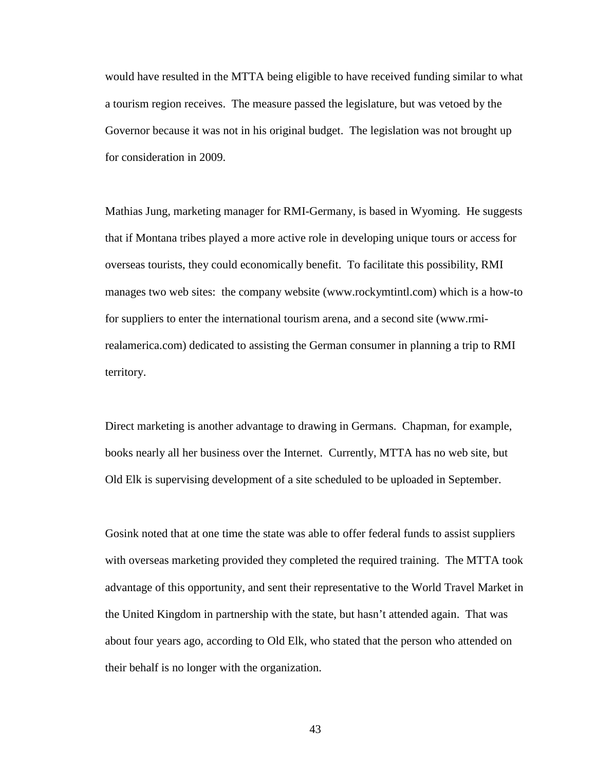would have resulted in the MTTA being eligible to have received funding similar to what a tourism region receives. The measure passed the legislature, but was vetoed by the Governor because it was not in his original budget. The legislation was not brought up for consideration in 2009.

Mathias Jung, marketing manager for RMI-Germany, is based in Wyoming. He suggests that if Montana tribes played a more active role in developing unique tours or access for overseas tourists, they could economically benefit. To facilitate this possibility, RMI manages two web sites: the company website (www.rockymtintl.com) which is a how-to for suppliers to enter the international tourism arena, and a second site (www.rmirealamerica.com) dedicated to assisting the German consumer in planning a trip to RMI territory.

Direct marketing is another advantage to drawing in Germans. Chapman, for example, books nearly all her business over the Internet. Currently, MTTA has no web site, but Old Elk is supervising development of a site scheduled to be uploaded in September.

Gosink noted that at one time the state was able to offer federal funds to assist suppliers with overseas marketing provided they completed the required training. The MTTA took advantage of this opportunity, and sent their representative to the World Travel Market in the United Kingdom in partnership with the state, but hasn't attended again. That was about four years ago, according to Old Elk, who stated that the person who attended on their behalf is no longer with the organization.